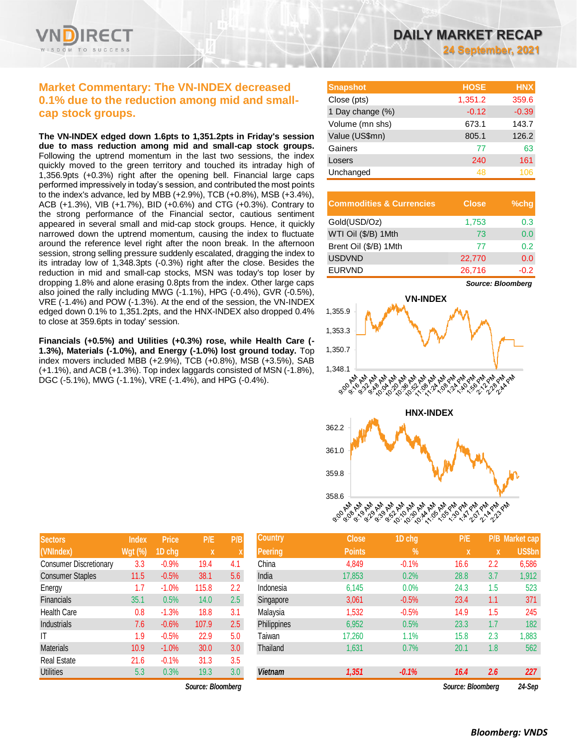

# **Market Commentary: The VN-INDEX decreased 0.1% due to the reduction among mid and smallcap stock groups.**

**The VN-INDEX edged down 1.6pts to 1,351.2pts in Friday's session due to mass reduction among mid and small-cap stock groups.**  Following the uptrend momentum in the last two sessions, the index quickly moved to the green territory and touched its intraday high of 1,356.9pts (+0.3%) right after the opening bell. Financial large caps performed impressively in today's session, and contributed the most points to the index's advance, led by MBB (+2.9%), TCB (+0.8%), MSB (+3.4%), ACB (+1.3%), VIB (+1.7%), BID (+0.6%) and CTG (+0.3%). Contrary to the strong performance of the Financial sector, cautious sentiment appeared in several small and mid-cap stock groups. Hence, it quickly narrowed down the uptrend momentum, causing the index to fluctuate around the reference level right after the noon break. In the afternoon session, strong selling pressure suddenly escalated, dragging the index to its intraday low of 1,348.3pts (-0.3%) right after the close. Besides the reduction in mid and small-cap stocks, MSN was today's top loser by dropping 1.8% and alone erasing 0.8pts from the index. Other large caps also joined the rally including MWG (-1.1%), HPG (-0.4%), GVR (-0.5%), VRE (-1.4%) and POW (-1.3%). At the end of the session, the VN-INDEX edged down 0.1% to 1,351.2pts, and the HNX-INDEX also dropped 0.4% to close at 359.6pts in today' session.

**Financials (+0.5%) and Utilities (+0.3%) rose, while Health Care (- 1.3%), Materials (-1.0%), and Energy (-1.0%) lost ground today.** Top index movers included MBB (+2.9%), TCB (+0.8%), MSB (+3.5%), SAB (+1.1%), and ACB (+1.3%). Top index laggards consisted of MSN (-1.8%), DGC (-5.1%), MWG (-1.1%), VRE (-1.4%), and HPG (-0.4%).

| DAILY MARKET RECAP |                           |  |
|--------------------|---------------------------|--|
|                    | <b>24 September, 2021</b> |  |

| <b>Snapshot</b>  | <b>HOSE</b> | <b>HNX</b> |
|------------------|-------------|------------|
| Close (pts)      | 1,351.2     | 359.6      |
| 1 Day change (%) | $-0.12$     | $-0.39$    |
| Volume (mn shs)  | 673.1       | 143.7      |
| Value (US\$mn)   | 805.1       | 126.2      |
| Gainers          | 77          | 63         |
| Losers           | 240         | 161        |
| Unchanged        | 48          |            |

| <b>Commodities &amp; Currencies</b> | <b>Close</b> | $%$ chq |
|-------------------------------------|--------------|---------|
| Gold(USD/Oz)                        | 1,753        | 0.3     |
| WTI Oil (\$/B) 1Mth                 | 73           | 0.0     |
| Brent Oil (\$/B) 1Mth               | 77           | 0.2     |
| <b>USDVND</b>                       | 22,770       | 0.0     |
| <b>EURVND</b>                       | 26,716       | -0.2    |



| <b>Sectors</b>                | <b>Index</b>   | <b>Price</b> | P/E   | P/B |
|-------------------------------|----------------|--------------|-------|-----|
| (VNIndex)                     | <b>Wgt (%)</b> | 1D chg       | X     | X   |
| <b>Consumer Discretionary</b> | 3.3            | $-0.9%$      | 19.4  | 4.1 |
| <b>Consumer Staples</b>       | 11.5           | $-0.5%$      | 38.1  | 5.6 |
| Energy                        | 1.7            | $-1.0%$      | 115.8 | 2.2 |
| <b>Financials</b>             | 35.1           | 0.5%         | 14.0  | 2.5 |
| <b>Health Care</b>            | 0.8            | $-1.3%$      | 18.8  | 3.1 |
| <b>Industrials</b>            | 7.6            | $-0.6%$      | 107.9 | 2.5 |
| IΤ                            | 1.9            | $-0.5%$      | 22.9  | 5.0 |
| <b>Materials</b>              | 10.9           | $-1.0%$      | 30.0  | 3.0 |
| <b>Real Estate</b>            | 21.6           | $-0.1%$      | 31.3  | 3.5 |
| <b>Utilities</b>              | 5.3            | 0.3%         | 19.3  | 3.0 |

 $Source: Bloomberg$ 

| <b>Sectors</b>          | <b>Index</b>   | <b>Price</b> | P/E                       | P/B              | Country        | <b>Close</b>  | 1D chg        | P/E               |     | <u> IP/B_Market cap</u> |
|-------------------------|----------------|--------------|---------------------------|------------------|----------------|---------------|---------------|-------------------|-----|-------------------------|
| (VNIndex)               | <b>Wgt (%)</b> | 1D chg       | $\boldsymbol{\mathsf{x}}$ |                  | <b>Peering</b> | <b>Points</b> | $\frac{9}{6}$ | X                 | X   | <b>US\$bn</b>           |
| Consumer Discretionary  | 3.3            | $-0.9%$      | 19.4                      | 4.1              | China          | 4,849         | $-0.1%$       | 16.6              | 2.2 | 6,586                   |
| <b>Consumer Staples</b> | 11.5           | $-0.5%$      | 38.1                      | 5.6              | India          | 17,853        | 0.2%          | 28.8              | 3.7 | 1,912                   |
| Energy                  | 1.7            | $-1.0%$      | 115.8                     | 2.2              | Indonesia      | 6,145         | 0.0%          | 24.3              | 1.5 | 523                     |
| <b>Financials</b>       | 35.1           | 0.5%         | 14.0                      | 2.5              | Singapore      | 3,061         | $-0.5%$       | 23.4              | 1.1 | 371                     |
| Health Care             | 0.8            | $-1.3%$      | 18.8                      | 3.1              | Malaysia       | 1,532         | $-0.5%$       | 14.9              | 1.5 | 245                     |
| Industrials             | 7.6            | $-0.6%$      | 107.9                     | 2.5              | Philippines    | 6,952         | 0.5%          | 23.3              | 1.7 | 182                     |
| ΙT                      | 1.9            | $-0.5%$      | 22.9                      | 5.0              | Taiwan         | 17,260        | 1.1%          | 15.8              | 2.3 | 1,883                   |
| Materials               | 10.9           | $-1.0%$      | 30.0                      | 3.0 <sub>2</sub> | Thailand       | 1,631         | 0.7%          | 20.1              | 1.8 | 562                     |
| Real Estate             | 21.6           | $-0.1%$      | 31.3                      | 3.5              |                |               |               |                   |     |                         |
| <b>Utilities</b>        | 5.3            | 0.3%         | 19.3                      | 3.0 <sub>2</sub> | <b>Vietnam</b> | 1,351         | $-0.1%$       | 16.4              | 2.6 | 227                     |
|                         |                |              | Source: Rioomberg         |                  |                |               |               | Source: Rioomberg |     | $24.$ Sen               |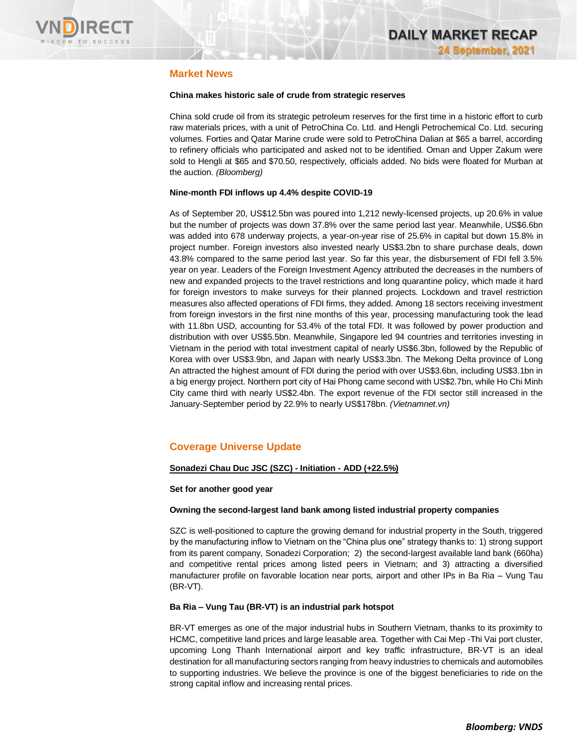

# **Market News**

### **China makes historic sale of crude from strategic reserves**

China sold crude oil from its strategic petroleum reserves for the first time in a historic effort to curb raw materials prices, with a unit of PetroChina Co. Ltd. and Hengli Petrochemical Co. Ltd. securing volumes. Forties and Qatar Marine crude were sold to PetroChina Dalian at \$65 a barrel, according to refinery officials who participated and asked not to be identified. Oman and Upper Zakum were sold to Hengli at \$65 and \$70.50, respectively, officials added. No bids were floated for Murban at the auction. *(Bloomberg)*

### **Nine-month FDI inflows up 4.4% despite COVID-19**

As of September 20, US\$12.5bn was poured into 1,212 newly-licensed projects, up 20.6% in value but the number of projects was down 37.8% over the same period last year. Meanwhile, US\$6.6bn was added into 678 underway projects, a year-on-year rise of 25.6% in capital but down 15.8% in project number. Foreign investors also invested nearly US\$3.2bn to share purchase deals, down 43.8% compared to the same period last year. So far this year, the disbursement of FDI fell 3.5% year on year. Leaders of the Foreign Investment Agency attributed the decreases in the numbers of new and expanded projects to the travel restrictions and long quarantine policy, which made it hard for foreign investors to make surveys for their planned projects. Lockdown and travel restriction measures also affected operations of FDI firms, they added. Among 18 sectors receiving investment from foreign investors in the first nine months of this year, processing manufacturing took the lead with 11.8bn USD, accounting for 53.4% of the total FDI. It was followed by power production and distribution with over US\$5.5bn. Meanwhile, Singapore led 94 countries and territories investing in Vietnam in the period with total investment capital of nearly US\$6.3bn, followed by the Republic of Korea with over US\$3.9bn, and Japan with nearly US\$3.3bn. The Mekong Delta province of Long An attracted the highest amount of FDI during the period with over US\$3.6bn, including US\$3.1bn in a big energy project. Northern port city of Hai Phong came second with US\$2.7bn, while Ho Chi Minh City came third with nearly US\$2.4bn. The export revenue of the FDI sector still increased in the January-September period by 22.9% to nearly US\$178bn. *(Vietnamnet.vn)*

# **Coverage Universe Update**

## **Sonadezi Chau Duc JSC (SZC) - Initiation - ADD (+22.5%)**

## **Set for another good year**

## **Owning the second-largest land bank among listed industrial property companies**

SZC is well-positioned to capture the growing demand for industrial property in the South, triggered by the manufacturing inflow to Vietnam on the "China plus one" strategy thanks to: 1) strong support from its parent company, Sonadezi Corporation; 2) the second-largest available land bank (660ha) and competitive rental prices among listed peers in Vietnam; and 3) attracting a diversified manufacturer profile on favorable location near ports, airport and other IPs in Ba Ria – Vung Tau (BR-VT).

## **Ba Ria – Vung Tau (BR-VT) is an industrial park hotspot**

BR-VT emerges as one of the major industrial hubs in Southern Vietnam, thanks to its proximity to HCMC, competitive land prices and large leasable area. Together with Cai Mep -Thi Vai port cluster, upcoming Long Thanh International airport and key traffic infrastructure, BR-VT is an ideal destination for all manufacturing sectors ranging from heavy industries to chemicals and automobiles to supporting industries. We believe the province is one of the biggest beneficiaries to ride on the strong capital inflow and increasing rental prices.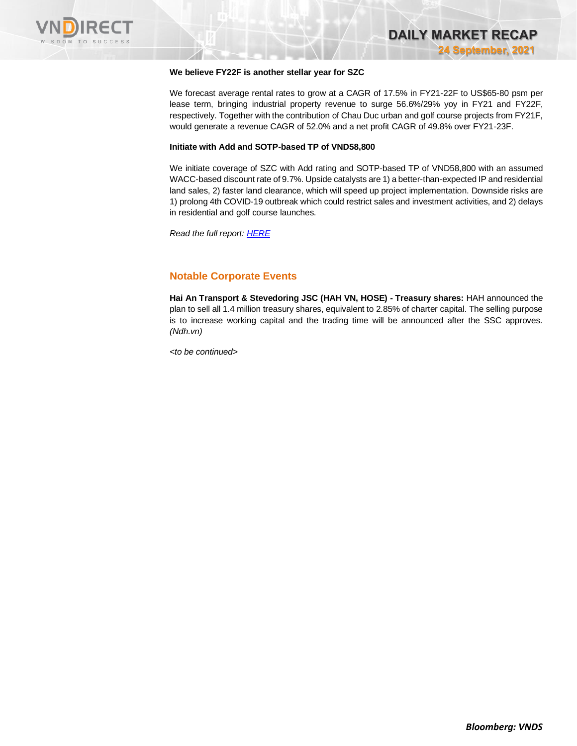

### **We believe FY22F is another stellar year for SZC**

We forecast average rental rates to grow at a CAGR of 17.5% in FY21-22F to US\$65-80 psm per lease term, bringing industrial property revenue to surge 56.6%/29% yoy in FY21 and FY22F, respectively. Together with the contribution of Chau Duc urban and golf course projects from FY21F, would generate a revenue CAGR of 52.0% and a net profit CAGR of 49.8% over FY21-23F.

### **Initiate with Add and SOTP-based TP of VND58,800**

We initiate coverage of SZC with Add rating and SOTP-based TP of VND58,800 with an assumed WACC-based discount rate of 9.7%. Upside catalysts are 1) a better-than-expected IP and residential land sales, 2) faster land clearance, which will speed up project implementation. Downside risks are 1) prolong 4th COVID-19 outbreak which could restrict sales and investment activities, and 2) delays in residential and golf course launches.

*Read the full report[: HERE](https://nhanha-public-api.vndirect.com.vn/click/OGE0ODlmZDA3NTYyMzU3MDAxNzU2MmUzNWNiMzEyMTE=/MmI5MTRlNjU5NmNmNGU1MGEyMGQ2ZjNlYTFiNmIyZDQ=/2b914e6596cf4e50a20d6f3ea1b6b2d4-SZC_Inititaion_20210923.pdf/cmVzZWFyY2hAdm5kaXJlY3QuY29tLnZu/MzU4ODI=)*

## **Notable Corporate Events**

**Hai An Transport & Stevedoring JSC (HAH VN, HOSE) - Treasury shares:** HAH announced the plan to sell all 1.4 million treasury shares, equivalent to 2.85% of charter capital. The selling purpose is to increase working capital and the trading time will be announced after the SSC approves. *(Ndh.vn)*

*<to be continued>*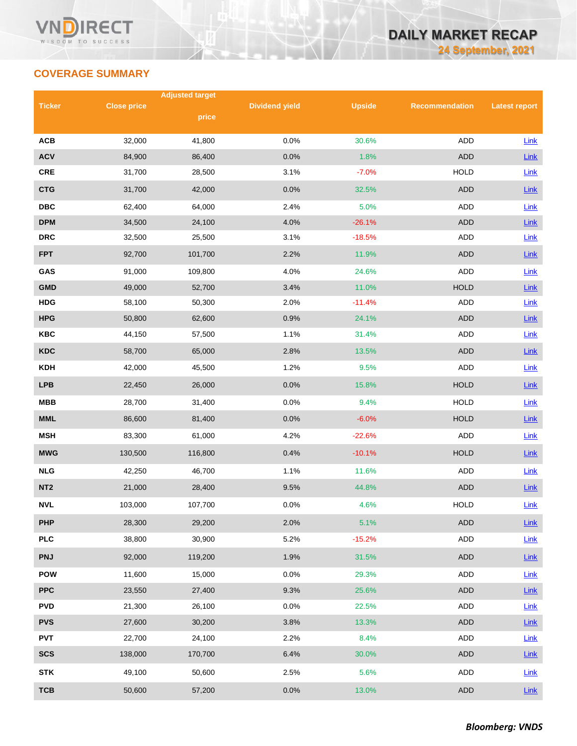# **COVERAGE SUMMARY**

|                 |                    | <b>Adjusted target</b> |                       |               |                       |                      |
|-----------------|--------------------|------------------------|-----------------------|---------------|-----------------------|----------------------|
| <b>Ticker</b>   | <b>Close price</b> | price                  | <b>Dividend yield</b> | <b>Upside</b> | <b>Recommendation</b> | <b>Latest report</b> |
|                 |                    |                        |                       |               |                       |                      |
| <b>ACB</b>      | 32,000             | 41,800                 | 0.0%                  | 30.6%         | <b>ADD</b>            | Link                 |
| <b>ACV</b>      | 84,900             | 86,400                 | 0.0%                  | 1.8%          | <b>ADD</b>            | Link                 |
| CRE             | 31,700             | 28,500                 | 3.1%                  | $-7.0%$       | <b>HOLD</b>           | Link                 |
| <b>CTG</b>      | 31,700             | 42,000                 | 0.0%                  | 32.5%         | <b>ADD</b>            | Link                 |
| <b>DBC</b>      | 62,400             | 64,000                 | 2.4%                  | 5.0%          | ADD                   | Link                 |
| <b>DPM</b>      | 34,500             | 24,100                 | 4.0%                  | $-26.1%$      | <b>ADD</b>            | Link                 |
| <b>DRC</b>      | 32,500             | 25,500                 | 3.1%                  | $-18.5%$      | ADD                   | Link                 |
| <b>FPT</b>      | 92,700             | 101,700                | 2.2%                  | 11.9%         | <b>ADD</b>            | Link                 |
| GAS             | 91,000             | 109,800                | 4.0%                  | 24.6%         | <b>ADD</b>            | Link                 |
| <b>GMD</b>      | 49,000             | 52,700                 | 3.4%                  | 11.0%         | <b>HOLD</b>           | Link                 |
| <b>HDG</b>      | 58,100             | 50,300                 | 2.0%                  | $-11.4%$      | ADD                   | Link                 |
| <b>HPG</b>      | 50,800             | 62,600                 | 0.9%                  | 24.1%         | <b>ADD</b>            | Link                 |
| <b>KBC</b>      | 44,150             | 57,500                 | 1.1%                  | 31.4%         | ADD                   | <b>Link</b>          |
| <b>KDC</b>      | 58,700             | 65,000                 | 2.8%                  | 13.5%         | <b>ADD</b>            | Link                 |
| <b>KDH</b>      | 42,000             | 45,500                 | 1.2%                  | 9.5%          | <b>ADD</b>            | <b>Link</b>          |
| <b>LPB</b>      | 22,450             | 26,000                 | 0.0%                  | 15.8%         | <b>HOLD</b>           | Link                 |
| <b>MBB</b>      | 28,700             | 31,400                 | 0.0%                  | 9.4%          | <b>HOLD</b>           | <b>Link</b>          |
| <b>MML</b>      | 86,600             | 81,400                 | 0.0%                  | $-6.0%$       | <b>HOLD</b>           | Link                 |
| <b>MSH</b>      | 83,300             | 61,000                 | 4.2%                  | $-22.6%$      | <b>ADD</b>            | Link                 |
| <b>MWG</b>      | 130,500            | 116,800                | 0.4%                  | $-10.1%$      | <b>HOLD</b>           | <b>Link</b>          |
| <b>NLG</b>      | 42,250             | 46,700                 | 1.1%                  | 11.6%         | ADD                   | <b>Link</b>          |
| NT <sub>2</sub> | 21,000             | 28,400                 | 9.5%                  | 44.8%         | <b>ADD</b>            | Link                 |
| <b>NVL</b>      | 103,000            | 107,700                | 0.0%                  | 4.6%          | <b>HOLD</b>           | Link                 |
| <b>PHP</b>      | 28,300             | 29,200                 | 2.0%                  | 5.1%          | ADD                   | Link                 |
| <b>PLC</b>      | 38,800             | 30,900                 | 5.2%                  | $-15.2%$      | ADD                   | Link                 |
| <b>PNJ</b>      | 92,000             | 119,200                | 1.9%                  | 31.5%         | <b>ADD</b>            | <b>Link</b>          |
| <b>POW</b>      | 11,600             | 15,000                 | 0.0%                  | 29.3%         | ADD                   | <b>Link</b>          |
| <b>PPC</b>      | 23,550             | 27,400                 | 9.3%                  | 25.6%         | ADD                   | Link                 |
| <b>PVD</b>      | 21,300             | 26,100                 | 0.0%                  | 22.5%         | ADD                   | <b>Link</b>          |
| <b>PVS</b>      | 27,600             | 30,200                 | 3.8%                  | 13.3%         | <b>ADD</b>            | <b>Link</b>          |
| <b>PVT</b>      | 22,700             | 24,100                 | 2.2%                  | 8.4%          | ADD                   | Link                 |
| <b>SCS</b>      | 138,000            | 170,700                | 6.4%                  | 30.0%         | ADD                   | $Link$               |
| <b>STK</b>      | 49,100             | 50,600                 | 2.5%                  | 5.6%          | ADD                   | Link                 |
| <b>TCB</b>      | 50,600             | 57,200                 | 0.0%                  | 13.0%         | <b>ADD</b>            | Link                 |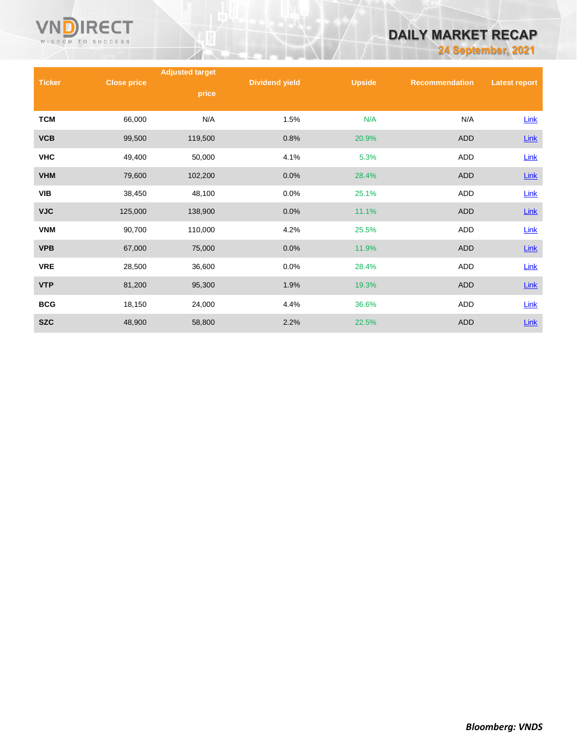

# **DAILY MARKET RECAP**

**24 September, 2021**

|               |                    | <b>Adjusted target</b> |                       |               |                       |                      |
|---------------|--------------------|------------------------|-----------------------|---------------|-----------------------|----------------------|
| <b>Ticker</b> | <b>Close price</b> | price                  | <b>Dividend yield</b> | <b>Upside</b> | <b>Recommendation</b> | <b>Latest report</b> |
|               |                    |                        |                       |               |                       |                      |
| <b>TCM</b>    | 66,000             | N/A                    | 1.5%                  | N/A           | N/A                   | <b>Link</b>          |
| <b>VCB</b>    | 99,500             | 119,500                | 0.8%                  | 20.9%         | <b>ADD</b>            | <b>Link</b>          |
| <b>VHC</b>    | 49,400             | 50,000                 | 4.1%                  | 5.3%          | ADD                   | Link                 |
| <b>VHM</b>    | 79,600             | 102,200                | 0.0%                  | 28.4%         | <b>ADD</b>            | $Link$               |
| VIB           | 38,450             | 48,100                 | 0.0%                  | 25.1%         | <b>ADD</b>            | <b>Link</b>          |
| <b>VJC</b>    | 125,000            | 138,900                | 0.0%                  | 11.1%         | <b>ADD</b>            | <b>Link</b>          |
| <b>VNM</b>    | 90,700             | 110,000                | 4.2%                  | 25.5%         | ADD                   | <b>Link</b>          |
| <b>VPB</b>    | 67,000             | 75,000                 | 0.0%                  | 11.9%         | <b>ADD</b>            | $Link$               |
| <b>VRE</b>    | 28,500             | 36,600                 | 0.0%                  | 28.4%         | ADD                   | <b>Link</b>          |
| <b>VTP</b>    | 81,200             | 95,300                 | 1.9%                  | 19.3%         | <b>ADD</b>            | $Link$               |
| <b>BCG</b>    | 18,150             | 24,000                 | 4.4%                  | 36.6%         | ADD                   | <b>Link</b>          |
| <b>SZC</b>    | 48,900             | 58,800                 | 2.2%                  | 22.5%         | <b>ADD</b>            | <b>Link</b>          |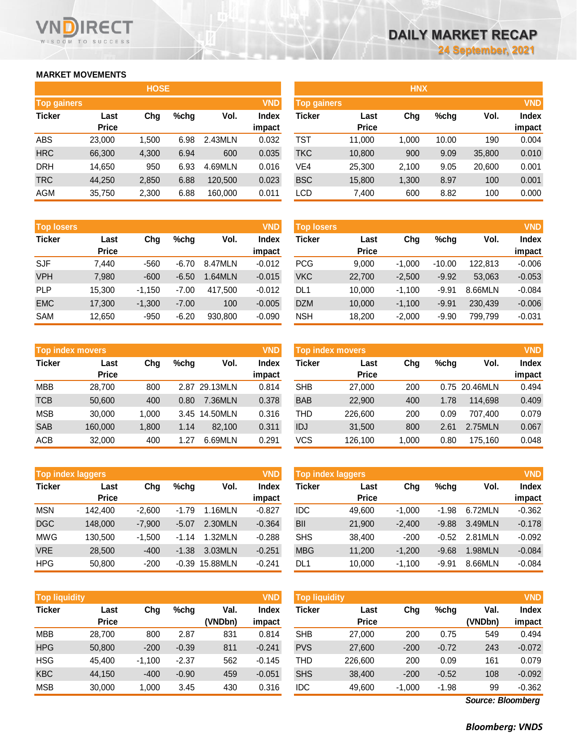## **MARKET MOVEMENTS**

WISDOM TO SUCCESS

RECT

| <b>HOSE</b>        |              |       |      |         |              |  |  |  |
|--------------------|--------------|-------|------|---------|--------------|--|--|--|
| <b>Top gainers</b> |              |       |      |         | <b>VND</b>   |  |  |  |
| <b>Ticker</b>      | Last         | Cha   | %chq | Vol.    | <b>Index</b> |  |  |  |
|                    | <b>Price</b> |       |      |         | impact       |  |  |  |
| ABS                | 23,000       | 1,500 | 6.98 | 2.43MLN | 0.032        |  |  |  |
| <b>HRC</b>         | 66,300       | 4,300 | 6.94 | 600     | 0.035        |  |  |  |
| <b>DRH</b>         | 14,650       | 950   | 6.93 | 4.69MLN | 0.016        |  |  |  |
| <b>TRC</b>         | 44,250       | 2,850 | 6.88 | 120,500 | 0.023        |  |  |  |
| <b>AGM</b>         | 35,750       | 2,300 | 6.88 | 160,000 | 0.011        |  |  |  |

| <b>Top losers</b> |              |          |         |         | <b>VND</b>   |
|-------------------|--------------|----------|---------|---------|--------------|
| <b>Ticker</b>     | Last         | Cha      | %chq    | Vol.    | <b>Index</b> |
|                   | <b>Price</b> |          |         |         | impact       |
| <b>SJF</b>        | 7.440        | -560     | $-6.70$ | 8.47MLN | $-0.012$     |
| <b>VPH</b>        | 7,980        | $-600$   | $-6.50$ | 1.64MLN | $-0.015$     |
| PLP               | 15,300       | $-1,150$ | $-7.00$ | 417,500 | $-0.012$     |
| <b>EMC</b>        | 17,300       | $-1,300$ | $-7.00$ | 100     | $-0.005$     |
| <b>SAM</b>        | 12,650       | $-950$   | $-6.20$ | 930,800 | $-0.090$     |

| <b>Top index movers</b> | <b>VND</b>           |       |      |               |                        |
|-------------------------|----------------------|-------|------|---------------|------------------------|
| <b>Ticker</b>           | Last<br><b>Price</b> | Cha   | %chq | Vol.          | <b>Index</b><br>impact |
| <b>MBB</b>              | 28,700               | 800   |      | 2.87 29.13MLN | 0.814                  |
| <b>TCB</b>              | 50,600               | 400   | 0.80 | 7.36MLN       | 0.378                  |
| <b>MSB</b>              | 30,000               | 1,000 | 3.45 | 14.50MLN      | 0.316                  |
| <b>SAB</b>              | 160,000              | 1,800 | 1.14 | 82,100        | 0.311                  |
| <b>ACB</b>              | 32,000               | 400   | 1.27 | 6.69MLN       | 0.291                  |

| <b>Top index laggers</b> |              |          |         |          |              |  |
|--------------------------|--------------|----------|---------|----------|--------------|--|
| <b>Ticker</b>            | Last         | Cha      | %chq    | Vol.     | <b>Index</b> |  |
|                          | <b>Price</b> |          |         |          | impact       |  |
| <b>MSN</b>               | 142,400      | $-2,600$ | $-1.79$ | 1.16MLN  | $-0.827$     |  |
| <b>DGC</b>               | 148,000      | $-7,900$ | $-5.07$ | 2.30MLN  | $-0.364$     |  |
| <b>MWG</b>               | 130,500      | $-1,500$ | $-1.14$ | 1.32MLN  | $-0.288$     |  |
| <b>VRE</b>               | 28,500       | $-400$   | $-1.38$ | 3.03MLN  | $-0.251$     |  |
| <b>HPG</b>               | 50,800       | $-200$   | $-0.39$ | 15.88MLN | $-0.241$     |  |

| <b>Top liquidity</b> |              |          |         |         | <b>VND</b>   |
|----------------------|--------------|----------|---------|---------|--------------|
| <b>Ticker</b>        | Last         | Chq      | %chq    | Val.    | <b>Index</b> |
|                      | <b>Price</b> |          |         | (VNDbn) | impact       |
| <b>MBB</b>           | 28,700       | 800      | 2.87    | 831     | 0.814        |
| <b>HPG</b>           | 50,800       | $-200$   | $-0.39$ | 811     | $-0.241$     |
| <b>HSG</b>           | 45,400       | $-1,100$ | $-2.37$ | 562     | $-0.145$     |
| <b>KBC</b>           | 44,150       | $-400$   | $-0.90$ | 459     | $-0.051$     |
| <b>MSB</b>           | 30,000       | 1,000    | 3.45    | 430     | 0.316        |

|                    |              | <b>HOSE</b> |         |         |              |                          |              | <b>HNX</b> |         |        |              |
|--------------------|--------------|-------------|---------|---------|--------------|--------------------------|--------------|------------|---------|--------|--------------|
| <b>Top gainers</b> |              |             |         |         | <b>VND</b>   | Top gainers <sup>1</sup> |              |            |         |        | <b>VND</b>   |
| Ticker             | Last         | Chg         | $%$ chg | Vol.    | <b>Index</b> | Ticker                   | Last         | Chg        | $%$ chg | Vol.   | <b>Index</b> |
|                    | <b>Price</b> |             |         |         | impact       |                          | <b>Price</b> |            |         |        | impact       |
| ABS                | 23,000       | 1,500       | 6.98    | 2.43MLN | 0.032        | TST                      | 11,000       | .000       | 10.00   | 190    | 0.004        |
| <b>HRC</b>         | 66,300       | 4,300       | 6.94    | 600     | 0.035        | <b>TKC</b>               | 10,800       | 900        | 9.09    | 35,800 | 0.010        |
| DRH                | 14,650       | 950         | 6.93    | 4.69MLN | 0.016        | VE4                      | 25,300       | 2,100      | 9.05    | 20,600 | 0.001        |
| TRC                | 44,250       | 2,850       | 6.88    | 120.500 | 0.023        | <b>BSC</b>               | 15,800       | 1,300      | 8.97    | 100    | 0.001        |
| AGM                | 35,750       | 2,300       | 6.88    | 160,000 | 0.011        | <b>LCD</b>               | 7,400        | 600        | 8.82    | 100    | 0.000        |
|                    |              |             |         |         |              |                          |              |            |         |        |              |

| <b>Top losers</b> |              |         |         | <b>VND</b> |            |        |                                   |          |         | <b>VND</b>   |
|-------------------|--------------|---------|---------|------------|------------|--------|-----------------------------------|----------|---------|--------------|
| Last              | Chg          | $%$ chg | Vol.    | Index      | Ticker     | Last   | Chg                               | $%$ chg  | Vol.    | <b>Index</b> |
|                   |              |         |         | impact     |            |        |                                   |          |         | impact       |
| 7.440             | $-560$       | $-6.70$ | 8.47MLN | $-0.012$   | <b>PCG</b> | 9.000  | $-1.000$                          | $-10.00$ | 122.813 | $-0.006$     |
| 7,980             | $-600$       | $-6.50$ | .64MLN  | $-0.015$   | <b>VKC</b> | 22,700 | $-2,500$                          | $-9.92$  | 53.063  | $-0.053$     |
| 15,300            | $-1.150$     | $-7.00$ | 417.500 | $-0.012$   | DL1        | 10,000 | $-1.100$                          | $-9.91$  | 8.66MLN | $-0.084$     |
| 17,300            | $-1.300$     | $-7.00$ | 100     | $-0.005$   | <b>DZM</b> | 10,000 | $-1.100$                          | $-9.91$  | 230.439 | $-0.006$     |
| 12,650            | $-950$       | $-6.20$ | 930,800 | $-0.090$   | <b>NSH</b> | 18,200 | $-2,000$                          | $-9.90$  | 799.799 | $-0.031$     |
|                   | <b>Price</b> |         |         |            |            |        | <b>Top losers</b><br><b>Price</b> |          |         |              |

|            | <b>Top index movers</b> |       |      |          | <b>VND</b>             |            | <b>VND</b><br><b>Top index movers</b> |        |      |               |                        |  |  |
|------------|-------------------------|-------|------|----------|------------------------|------------|---------------------------------------|--------|------|---------------|------------------------|--|--|
| Ticker     | Last<br><b>Price</b>    | Chg   | %chq | Vol.     | <b>Index</b><br>impact | Ticker     | Last<br><b>Price</b>                  | Chg    | %chg | Vol.          | <b>Index</b><br>impact |  |  |
| <b>MBB</b> | 28.700                  | 800   | 2.87 | 29.13MLN | 0.814                  | <b>SHB</b> | 27,000                                | 200    |      | 0.75 20.46MLN | 0.494                  |  |  |
| TCB        | 50,600                  | 400   | 0.80 | 7.36MLN  | 0.378                  | <b>BAB</b> | 22,900                                | 400    | 1.78 | 114.698       | 0.409                  |  |  |
| MSB        | 30,000                  | 1.000 | 3.45 | 14.50MLN | 0.316                  | THD        | 226,600                               | 200    | 0.09 | 707.400       | 0.079                  |  |  |
| <b>SAB</b> | 160,000                 | 1.800 | 1.14 | 82.100   | 0.311                  | <b>IDJ</b> | 31,500                                | 800    | 2.61 | 2.75MLN       | 0.067                  |  |  |
| ACB        | 32,000                  | 400   | 1.27 | 6.69MLN  | 0.291                  | VCS        | 126.100                               | 000. ا | 0.80 | 175.160       | 0.048                  |  |  |

| <b>Top index laggers</b> |                      |          |         |          | <b>VND</b>             | <b>VND</b><br><b>Top index laggers</b> |                      |          |         |         |                        |
|--------------------------|----------------------|----------|---------|----------|------------------------|----------------------------------------|----------------------|----------|---------|---------|------------------------|
| Ticker                   | Last<br><b>Price</b> | Chg      | $%$ chg | Vol.     | <b>Index</b><br>impact | Ticker                                 | Last<br><b>Price</b> | Chg      | $%$ chg | Vol.    | <b>Index</b><br>impact |
| <b>MSN</b>               | 142.400              | $-2.600$ | $-1.79$ | 1.16MLN  | $-0.827$               | <b>IDC</b>                             | 49,600               | $-1.000$ | $-1.98$ | 6.72MLN | $-0.362$               |
| <b>DGC</b>               | 148,000              | $-7.900$ | $-5.07$ | 2.30MLN  | $-0.364$               | BII                                    | 21,900               | $-2.400$ | $-9.88$ | 3.49MLN | $-0.178$               |
|                          |                      |          |         | 1.32MLN  |                        |                                        |                      |          |         |         |                        |
| MWG                      | 130.500              | $-1.500$ | $-1.14$ |          | $-0.288$               | <b>SHS</b>                             | 38,400               | $-200$   | $-0.52$ | 2.81MLN | $-0.092$               |
| <b>VRE</b>               | 28,500               | $-400$   | $-1.38$ | 3.03MLN  | $-0.251$               | <b>MBG</b>                             | 11,200               | $-1.200$ | $-9.68$ | I.98MLN | $-0.084$               |
| HPG                      | 50,800               | $-200$   | $-0.39$ | 15.88MLN | $-0.241$               | DL <sub>1</sub>                        | 10,000               | $-1.100$ | $-9.91$ | 8.66MLN | $-0.084$               |

| <b>Top liquidity</b> |                      |          |         |         | <b>VND</b>   | <b>Top liquidity</b> |                      |          |         |                 | <b>VND</b>   |
|----------------------|----------------------|----------|---------|---------|--------------|----------------------|----------------------|----------|---------|-----------------|--------------|
| Ticker               | Last<br><b>Price</b> | Chg      | $%$ chg | Val.    | <b>Index</b> | Ticker               | Last<br><b>Price</b> | Chg      | $%$ chg | Val.<br>(VNDbn) | <b>Index</b> |
|                      |                      |          |         | (VNDbn) | impact       |                      |                      |          |         |                 | impact       |
| MBB                  | 28,700               | 800      | 2.87    | 831     | 0.814        | <b>SHB</b>           | 27,000               | 200      | 0.75    | 549             | 0.494        |
| <b>HPG</b>           | 50,800               | $-200$   | $-0.39$ | 811     | $-0.241$     | <b>PVS</b>           | 27,600               | $-200$   | $-0.72$ | 243             | $-0.072$     |
| <b>HSG</b>           | 45.400               | $-1.100$ | $-2.37$ | 562     | $-0.145$     | THD                  | 226,600              | 200      | 0.09    | 161             | 0.079        |
| <b>KBC</b>           | 44,150               | $-400$   | $-0.90$ | 459     | $-0.051$     | <b>SHS</b>           | 38,400               | $-200$   | $-0.52$ | 108             | $-0.092$     |
| MSB                  | 30,000               | 1.000    | 3.45    | 430     | 0.316        | IDC                  | 49,600               | $-1,000$ | $-1.98$ | 99              | $-0.362$     |

*Source: Bloomberg*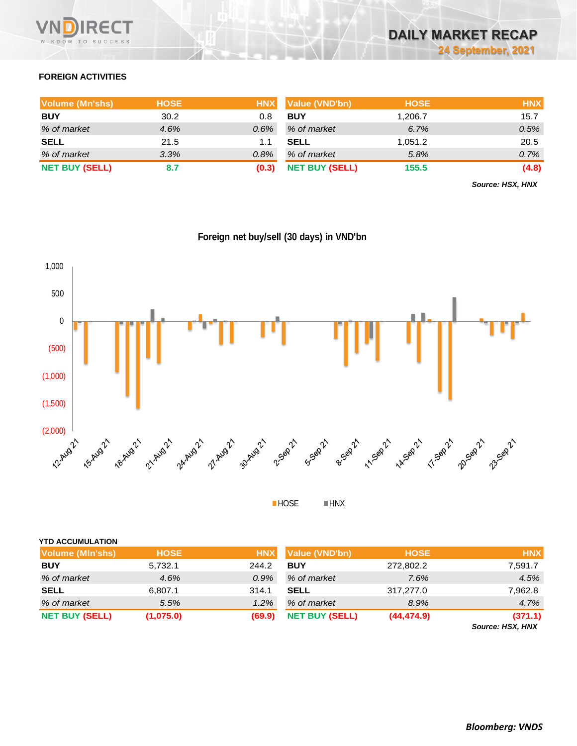

# **FOREIGN ACTIVITIES**

| <b>Volume (Mn'shs)</b> | <b>HOSE</b> |       | HNX Value (VND'bn)    | <b>HOSE</b> | <b>HNX</b> |
|------------------------|-------------|-------|-----------------------|-------------|------------|
| <b>BUY</b>             | 30.2        | 0.8   | <b>BUY</b>            | 1.206.7     | 15.7       |
| % of market            | 4.6%        | 0.6%  | % of market           | 6.7%        | 0.5%       |
| <b>SELL</b>            | 21.5        | 1.1   | <b>SELL</b>           | 1.051.2     | 20.5       |
| % of market            | 3.3%        | 0.8%  | % of market           | 5.8%        | 0.7%       |
| <b>NET BUY (SELL)</b>  | 8.7         | (0.3) | <b>NET BUY (SELL)</b> | 155.5       | (4.8)      |

*Source: HSX, HNX*



**Foreign net buy/sell (30 days) in VND'bn**

 $HOSE$ 

| Volume (MIn'shs)      | <b>HOSE</b> | <b>HNX</b> | Value (VND'bn)        | <b>HOSE</b> | <b>HNX</b> |
|-----------------------|-------------|------------|-----------------------|-------------|------------|
| <b>BUY</b>            | 5,732.1     | 244.2      | <b>BUY</b>            | 272,802.2   | 7,591.7    |
| % of market           | 4.6%        | $0.9\%$    | % of market           | 7.6%        | 4.5%       |
| <b>SELL</b>           | 6,807.1     | 314.1      | <b>SELL</b>           | 317,277.0   | 7,962.8    |
| % of market           | 5.5%        | 1.2%       | % of market           | 8.9%        | 4.7%       |
| <b>NET BUY (SELL)</b> | (1,075.0)   | (69.9)     | <b>NET BUY (SELL)</b> | (44, 474.9) | (371.1)    |

*Source: HSX, HNX*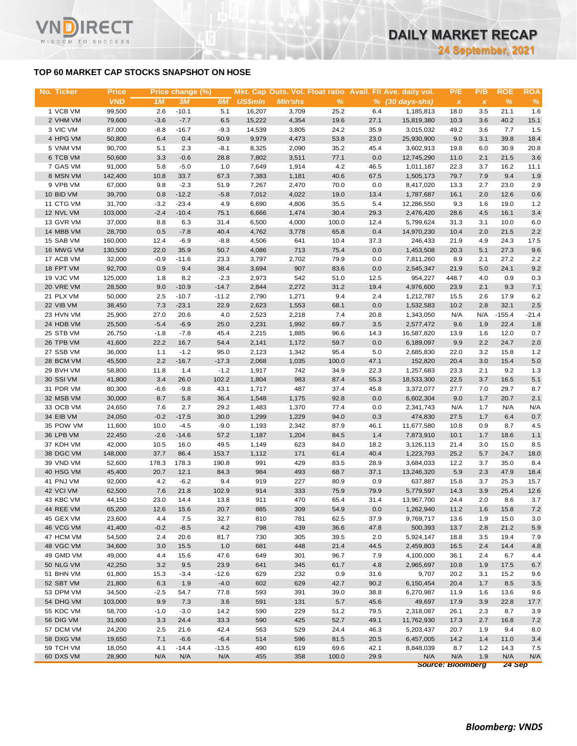## **TOP 60 MARKET CAP STOCKS SNAPSHOT ON HOSE**

RECT

WISDOM TO SUCCESS

Vľ

| <b>VND</b><br><b>US\$mln</b><br>$\%$<br>$\%$<br>1M<br>3M<br>6M<br><b>MIn'shs</b><br>$% (30 \, \text{days-shs})$<br>%<br>$\pmb{\chi}$<br>$\pmb{\chi}$<br>1 VCB VM<br>2.6<br>$-10.1$<br>5.1<br>21.1<br>99,500<br>16,207<br>3,709<br>25.2<br>6.4<br>1,185,813<br>18.0<br>3.5<br>1.6<br>$-7.7$<br>6.5<br>40.2<br>2 VHM VM<br>79,600<br>$-3.6$<br>15,222<br>4,354<br>19.6<br>27.1<br>15,819,380<br>10.3<br>3.6<br>15.1<br>3 VIC VM<br>87,000<br>$-8.8$<br>$-16.7$<br>$-9.3$<br>14,539<br>3,805<br>24.2<br>35.9<br>3,015,032<br>49.2<br>3.6<br>7.7<br>1.5<br>4 HPG VM<br>50,800<br>6.4<br>50.9<br>9,979<br>4,473<br>53.8<br>23.0<br>25,930,900<br>9.0<br>3.1<br>39.8<br>18.4<br>0.4<br>5 VNM VM<br>90,700<br>5.1<br>2.3<br>$-8.1$<br>8,325<br>2,090<br>35.2<br>45.4<br>3,602,913<br>19.8<br>6.0<br>30.9<br>20.8<br>6 TCB VM<br>3.3<br>$3.6\,$<br>50,600<br>$-0.6$<br>28.8<br>7,802<br>3,511<br>77.1<br>0.0<br>12,745,290<br>11.0<br>21.5<br>2.1<br>7 GAS VM<br>91,000<br>5.8<br>$-5.0$<br>1.0<br>7,649<br>1,914<br>4.2<br>46.5<br>1,011,187<br>22.3<br>3.7<br>16.2<br>11.1<br>1.9<br>8 MSN VM<br>10.8<br>33.7<br>67.3<br>7,383<br>1,181<br>40.6<br>67.5<br>1,505,173<br>79.7<br>7.9<br>9.4<br>142,400<br>9 VPB VM<br>67,000<br>9.8<br>$-2.3$<br>51.9<br>7,267<br>2,470<br>70.0<br>0.0<br>8,417,020<br>2.7<br>23.0<br>2.9<br>13.3<br>$0.6\,$<br>10 BID VM<br>39,700<br>0.8<br>$-12.2$<br>$-5.8$<br>7,012<br>4,022<br>13.4<br>16.1<br>2.0<br>12.6<br>19.0<br>1,787,687<br>6,690<br>11 CTG VM<br>31,700<br>$-3.2$<br>$-23.4$<br>4.9<br>4,806<br>35.5<br>5.4<br>12,286,550<br>9.3<br>1.6<br>19.0<br>1.2<br>3.4<br>12 NVL VM<br>103,000<br>$-2.4$<br>$-10.4$<br>75.1<br>6,666<br>1,474<br>30.4<br>29.3<br>2,476,420<br>28.6<br>4.5<br>16.1<br>13 GVR VM<br>37,000<br>8.8<br>6.3<br>6,500<br>4,000<br>100.0<br>12.4<br>5,799,624<br>10.0<br>6.0<br>31.4<br>31.3<br>3.1<br>0.5<br>$2.2\,$<br>14 MBB VM<br>28,700<br>$-7.8$<br>40.4<br>4,762<br>3,778<br>65.8<br>0.4<br>14,970,230<br>10.4<br>2.0<br>21.5<br>15 SAB VM<br>160,000<br>12.4<br>$-6.9$<br>$-8.8$<br>4,506<br>641<br>10.4<br>37.3<br>246,433<br>17.5<br>21.9<br>4.9<br>24.3<br>9.6<br>16 MWG VM<br>130,500<br>22.0<br>35.9<br>50.7<br>4,086<br>713<br>75.4<br>0.0<br>20.3<br>5.1<br>27.3<br>1,453,508<br>17 ACB VM<br>32,000<br>$-0.9$<br>23.3<br>3,797<br>2,702<br>79.9<br>0.0<br>7,811,260<br>8.9<br>27.2<br>2.2<br>$-11.6$<br>2.1<br>0.9<br>907<br>0.0<br>9.2<br>18 FPT VM<br>92,700<br>9.4<br>38.4<br>3,694<br>83.6<br>2,545,347<br>21.9<br>5.0<br>24.1<br>8.2<br>19 VJC VM<br>1.8<br>$-2.3$<br>542<br>12.5<br>4.0<br>0.9<br>0.3<br>125,000<br>2,973<br>51.0<br>954,227<br>448.7<br>20 VRE VM<br>9.0<br>$-14.7$<br>28,500<br>$-10.9$<br>2,844<br>2,272<br>31.2<br>19.4<br>4,976,600<br>23.9<br>2.1<br>9.3<br>7.1<br>21 PLX VM<br>50,000<br>2.5<br>$-10.7$<br>$-11.2$<br>2,790<br>1,271<br>9.4<br>2.4<br>2.6<br>17.9<br>6.2<br>1,212,787<br>15.5<br>7.3<br>22 VIB VM<br>38,450<br>$-23.1$<br>22.9<br>2,623<br>1,553<br>68.1<br>0.0<br>1,532,583<br>10.2<br>2.8<br>32.1<br>2.5<br>4.0<br>23 HVN VM<br>25,900<br>27.0<br>20.6<br>2,523<br>2,218<br>7.4<br>20.8<br>1,343,050<br>N/A<br>N/A<br>$-155.4$<br>$-21.4$<br>3.5<br>24 HDB VM<br>25,500<br>$-5.4$<br>$-6.9$<br>25.0<br>2,231<br>1,992<br>69.7<br>9.6<br>1.9<br>22.4<br>1.8<br>2,577,472<br>25 STB VM<br>26,750<br>$-1.8$<br>$-7.8$<br>45.4<br>2,215<br>1,885<br>96.6<br>14.3<br>1.6<br>12.0<br>0.7<br>16,587,820<br>13.9<br>26 TPB VM<br>41,600<br>22.2<br>16.7<br>54.4<br>2,141<br>1,172<br>59.7<br>0.0<br>6,189,097<br>9.9<br>2.2<br>24.7<br>2.0<br>$-1.2$<br>27 SSB VM<br>36,000<br>1.1<br>95.0<br>2,123<br>1,342<br>95.4<br>5.0<br>2,685,830<br>22.0<br>3.2<br>15.8<br>1.2<br>2.2<br>28 BCM VM<br>45,500<br>$-16.7$<br>$-17.3$<br>2,068<br>100.0<br>47.1<br>152,820<br>3.0<br>15.4<br>5.0<br>1,035<br>20.4<br>29 BVH VM<br>58,800<br>11.8<br>1.4<br>$-1.2$<br>1,917<br>742<br>34.9<br>22.3<br>1,257,683<br>23.3<br>2.1<br>9.2<br>1.3<br>983<br>5.1<br>30 SSI VM<br>41,800<br>3.4<br>26.0<br>102.2<br>1,804<br>87.4<br>55.3<br>3.7<br>16.5<br>18,533,300<br>22.5<br>31 PDR VM<br>80,300<br>$-6.6$<br>43.1<br>1,717<br>487<br>37.4<br>45.8<br>3,372,077<br>29.7<br>8.7<br>$-9.8$<br>27.7<br>7.0<br>32 MSB VM<br>30,000<br>8.7<br>5.8<br>36.4<br>1,548<br>1,175<br>92.8<br>0.0<br>6,602,304<br>9.0<br>1.7<br>20.7<br>2.1<br>7.6<br>2.7<br>1,483<br>33 OCB VM<br>24,650<br>29.2<br>1,370<br>77.4<br>0.0<br>2,341,743<br>N/A<br>1.7<br>N/A<br>N/A<br>34 EIB VM<br>24,050<br>$-0.2$<br>$-17.5$<br>30.0<br>1,299<br>1,229<br>94.0<br>0.3<br>474,830<br>27.5<br>1.7<br>6.4<br>0.7<br>35 POW VM<br>11,600<br>10.0<br>$-4.5$<br>1,193<br>2,342<br>87.9<br>46.1<br>8.7<br>4.5<br>$-9.0$<br>11,677,580<br>10.8<br>0.9<br>36 LPB VM<br>22,450<br>$-2.6$<br>$-14.6$<br>57.2<br>1,187<br>1,204<br>84.5<br>1.4<br>10.1<br>1.7<br>18.6<br>1.1<br>7,873,910<br>37 KDH VM<br>42,000<br>10.5<br>16.0<br>49.5<br>1,149<br>623<br>84.0<br>18.2<br>3,126,113<br>3.0<br>15.0<br>8.5<br>21.4<br>37.7<br>171<br>38 DGC VM<br>148,000<br>86.4<br>153.7<br>1,112<br>61.4<br>40.4<br>1,223,793<br>25.2<br>5.7<br>24.7<br>18.0<br>39 VND VM<br>52,600<br>178.3<br>178.3<br>190.8<br>991<br>429<br>83.5<br>12.2<br>3.7<br>35.0<br>8.4<br>28.9<br>3,684,033<br>984<br>493<br>40 HSG VM<br>45,400<br>20.7<br>12.1<br>84.3<br>68.7<br>37.1<br>5.9<br>2.3<br>47.9<br>18.4<br>13,246,320<br>919<br>41 PNJ VM<br>92,000<br>4.2<br>$-6.2$<br>9.4<br>227<br>80.9<br>0.9<br>3.7<br>25.3<br>15.7<br>637,887<br>15.8<br>42 VCI VM<br>7.6<br>102.9<br>914<br>333<br>25.4<br>62,500<br>21.8<br>75.9<br>79.9<br>5,779,597<br>14.3<br>3.9<br>12.6<br>470<br>43 KBC VM<br>44,150<br>23.0<br>14.4<br>13.8<br>911<br>65.4<br>13,967,700<br>24.4<br>2.0<br>8.6<br>3.7<br>31.4<br>12.6<br>15.6<br>309<br>11.2<br>15.8<br>$7.2$<br>44 REE VM<br>65,200<br>20.7<br>885<br>54.9<br>0.0<br>1,262,940<br>1.6<br>45 GEX VM<br>23,600<br>7.5<br>32.7<br>810<br>781<br>62.5<br>37.9<br>9,769,717<br>1.9<br>15.0<br>3.0<br>4.4<br>13.6<br>46 VCG VM<br>41,400<br>$-8.5$<br>4.2<br>798<br>5.9<br>$-0.2$<br>439<br>36.6<br>47.8<br>500,393<br>13.7<br>2.8<br>21.2<br>47 HCM VM<br>54,500<br>2.4<br>20.6<br>81.7<br>730<br>305<br>39.5<br>2.0<br>5,924,147<br>19.4<br>18.8<br>3.5<br>7.9<br>48 VGC VM<br>3.0<br>44.5<br>14.4<br>34,600<br>15.5<br>1.0<br>681<br>448<br>21.4<br>2,459,803<br>16.5<br>2.4<br>4.8<br>49 GMD VM<br>49,000<br>47.6<br>649<br>7.9<br>4.4<br>15.6<br>301<br>96.7<br>4,100,000<br>36.1<br>2.4<br>6.7<br>4.4<br>50 NLG VM<br>42,250<br>3.2<br>641<br>9.5<br>23.9<br>345<br>61.7<br>4.8<br>2,965,697<br>10.8<br>1.9<br>17.5<br>6.7<br>51 BHN VM<br>61,800<br>629<br>9,707<br>15.3<br>$-3.4$<br>$-12.6$<br>232<br>0.9<br>31.6<br>20.2<br>3.1<br>15.2<br>9.6<br>52 SBT VM<br>21,800<br>6.3<br>1.9<br>$-4.0$<br>602<br>629<br>90.2<br>1.7<br>8.5<br>42.7<br>6,150,454<br>20.4<br>3.5<br>53 DPM VM<br>34,500<br>$-2.5$<br>54.7<br>77.8<br>593<br>391<br>39.0<br>38.8<br>6,270,987<br>11.9<br>13.6<br>9.6<br>1.6<br>54 DHG VM<br>9.9<br>591<br>45.6<br>103,000<br>7.3<br>3.6<br>131<br>5.7<br>49,697<br>17.9<br>3.9<br>22.8<br>17.7<br>55 KDC VM<br>58,700<br>$-1.0$<br>$-3.0$<br>14.2<br>590<br>229<br>51.2<br>79.5<br>2,318,087<br>26.1<br>2.3<br>8.7<br>3.9<br>56 DIG VM<br>31,600<br>3.3<br>24.4<br>33.3<br>590<br>425<br>52.7<br>49.1<br>11,762,930<br>2.7<br>17.3<br>16.8<br>7.2<br>24,200<br>563<br>529<br>57 DCM VM<br>2.5<br>21.6<br>42.4<br>24.4<br>46.3<br>5,203,437<br>20.7<br>1.9<br>9.4<br>8.0<br>58 DXG VM<br>19,650<br>7.1<br>$-6.6$<br>$-6.4$<br>514<br>81.5<br>596<br>20.5<br>6,457,005<br>14.2<br>1.4<br>11.0<br>3.4<br>59 TCH VM<br>18,050<br>4.1<br>$-14.4$<br>490<br>8,848,039<br>8.7<br>$-13.5$<br>619<br>69.6<br>42.1<br>1.2<br>14.3<br>7.5<br>60 DXS VM<br>N/A<br>N/A<br>N/A<br>28,900<br>N/A<br>N/A<br>455<br>358<br>100.0<br>29.9<br>N/A<br>1.9<br>N/A<br>source: Bloomberg<br>$24$ Sep | No. Ticker | <b>Price</b> | Price change (%) |  |  | Mkt. Cap Outs. Vol. Float ratio Avail. Fll Ave. daily vol. | P/E | P/B | <b>ROE</b> | <b>ROA</b> |
|--------------------------------------------------------------------------------------------------------------------------------------------------------------------------------------------------------------------------------------------------------------------------------------------------------------------------------------------------------------------------------------------------------------------------------------------------------------------------------------------------------------------------------------------------------------------------------------------------------------------------------------------------------------------------------------------------------------------------------------------------------------------------------------------------------------------------------------------------------------------------------------------------------------------------------------------------------------------------------------------------------------------------------------------------------------------------------------------------------------------------------------------------------------------------------------------------------------------------------------------------------------------------------------------------------------------------------------------------------------------------------------------------------------------------------------------------------------------------------------------------------------------------------------------------------------------------------------------------------------------------------------------------------------------------------------------------------------------------------------------------------------------------------------------------------------------------------------------------------------------------------------------------------------------------------------------------------------------------------------------------------------------------------------------------------------------------------------------------------------------------------------------------------------------------------------------------------------------------------------------------------------------------------------------------------------------------------------------------------------------------------------------------------------------------------------------------------------------------------------------------------------------------------------------------------------------------------------------------------------------------------------------------------------------------------------------------------------------------------------------------------------------------------------------------------------------------------------------------------------------------------------------------------------------------------------------------------------------------------------------------------------------------------------------------------------------------------------------------------------------------------------------------------------------------------------------------------------------------------------------------------------------------------------------------------------------------------------------------------------------------------------------------------------------------------------------------------------------------------------------------------------------------------------------------------------------------------------------------------------------------------------------------------------------------------------------------------------------------------------------------------------------------------------------------------------------------------------------------------------------------------------------------------------------------------------------------------------------------------------------------------------------------------------------------------------------------------------------------------------------------------------------------------------------------------------------------------------------------------------------------------------------------------------------------------------------------------------------------------------------------------------------------------------------------------------------------------------------------------------------------------------------------------------------------------------------------------------------------------------------------------------------------------------------------------------------------------------------------------------------------------------------------------------------------------------------------------------------------------------------------------------------------------------------------------------------------------------------------------------------------------------------------------------------------------------------------------------------------------------------------------------------------------------------------------------------------------------------------------------------------------------------------------------------------------------------------------------------------------------------------------------------------------------------------------------------------------------------------------------------------------------------------------------------------------------------------------------------------------------------------------------------------------------------------------------------------------------------------------------------------------------------------------------------------------------------------------------------------------------------------------------------------------------------------------------------------------------------------------------------------------------------------------------------------------------------------------------------------------------------------------------------------------------------------------------------------------------------------------------------------------------------------------------------------------------------------------------------------------------------------------------------------------------------------------------------------------------------------------------------------------------------------------------------------------------------------------------------------------------------------------------------------------------------------------------------------------------------------------------------------------------------------------------------------------------------------------------------------------------------------------------------------------------------------------------------------------------------------------------------------------------------------------------------------------------------------------------------------------------------------------------------------------------------------------------------------------------------------------------------------------------------------------------------------------------------------------------------------------------------------------------------------------------------------------------------------------------------------------------------------------------------------------------------------------------------------------------------------------------------------------------------------------------------------------------------------------------------------------------------------------------------------------------------------------------------------------------------------------------------------------|------------|--------------|------------------|--|--|------------------------------------------------------------|-----|-----|------------|------------|
|                                                                                                                                                                                                                                                                                                                                                                                                                                                                                                                                                                                                                                                                                                                                                                                                                                                                                                                                                                                                                                                                                                                                                                                                                                                                                                                                                                                                                                                                                                                                                                                                                                                                                                                                                                                                                                                                                                                                                                                                                                                                                                                                                                                                                                                                                                                                                                                                                                                                                                                                                                                                                                                                                                                                                                                                                                                                                                                                                                                                                                                                                                                                                                                                                                                                                                                                                                                                                                                                                                                                                                                                                                                                                                                                                                                                                                                                                                                                                                                                                                                                                                                                                                                                                                                                                                                                                                                                                                                                                                                                                                                                                                                                                                                                                                                                                                                                                                                                                                                                                                                                                                                                                                                                                                                                                                                                                                                                                                                                                                                                                                                                                                                                                                                                                                                                                                                                                                                                                                                                                                                                                                                                                                                                                                                                                                                                                                                                                                                                                                                                                                                                                                                                                                                                                                                                                                                                                                                                                                                                                                                                                                                                                                                                                                                                                                                                                                                                                                                                                                                                                                                                                                                                                                                                                                                                                                                                                |            |              |                  |  |  |                                                            |     |     |            |            |
|                                                                                                                                                                                                                                                                                                                                                                                                                                                                                                                                                                                                                                                                                                                                                                                                                                                                                                                                                                                                                                                                                                                                                                                                                                                                                                                                                                                                                                                                                                                                                                                                                                                                                                                                                                                                                                                                                                                                                                                                                                                                                                                                                                                                                                                                                                                                                                                                                                                                                                                                                                                                                                                                                                                                                                                                                                                                                                                                                                                                                                                                                                                                                                                                                                                                                                                                                                                                                                                                                                                                                                                                                                                                                                                                                                                                                                                                                                                                                                                                                                                                                                                                                                                                                                                                                                                                                                                                                                                                                                                                                                                                                                                                                                                                                                                                                                                                                                                                                                                                                                                                                                                                                                                                                                                                                                                                                                                                                                                                                                                                                                                                                                                                                                                                                                                                                                                                                                                                                                                                                                                                                                                                                                                                                                                                                                                                                                                                                                                                                                                                                                                                                                                                                                                                                                                                                                                                                                                                                                                                                                                                                                                                                                                                                                                                                                                                                                                                                                                                                                                                                                                                                                                                                                                                                                                                                                                                                |            |              |                  |  |  |                                                            |     |     |            |            |
|                                                                                                                                                                                                                                                                                                                                                                                                                                                                                                                                                                                                                                                                                                                                                                                                                                                                                                                                                                                                                                                                                                                                                                                                                                                                                                                                                                                                                                                                                                                                                                                                                                                                                                                                                                                                                                                                                                                                                                                                                                                                                                                                                                                                                                                                                                                                                                                                                                                                                                                                                                                                                                                                                                                                                                                                                                                                                                                                                                                                                                                                                                                                                                                                                                                                                                                                                                                                                                                                                                                                                                                                                                                                                                                                                                                                                                                                                                                                                                                                                                                                                                                                                                                                                                                                                                                                                                                                                                                                                                                                                                                                                                                                                                                                                                                                                                                                                                                                                                                                                                                                                                                                                                                                                                                                                                                                                                                                                                                                                                                                                                                                                                                                                                                                                                                                                                                                                                                                                                                                                                                                                                                                                                                                                                                                                                                                                                                                                                                                                                                                                                                                                                                                                                                                                                                                                                                                                                                                                                                                                                                                                                                                                                                                                                                                                                                                                                                                                                                                                                                                                                                                                                                                                                                                                                                                                                                                                |            |              |                  |  |  |                                                            |     |     |            |            |
|                                                                                                                                                                                                                                                                                                                                                                                                                                                                                                                                                                                                                                                                                                                                                                                                                                                                                                                                                                                                                                                                                                                                                                                                                                                                                                                                                                                                                                                                                                                                                                                                                                                                                                                                                                                                                                                                                                                                                                                                                                                                                                                                                                                                                                                                                                                                                                                                                                                                                                                                                                                                                                                                                                                                                                                                                                                                                                                                                                                                                                                                                                                                                                                                                                                                                                                                                                                                                                                                                                                                                                                                                                                                                                                                                                                                                                                                                                                                                                                                                                                                                                                                                                                                                                                                                                                                                                                                                                                                                                                                                                                                                                                                                                                                                                                                                                                                                                                                                                                                                                                                                                                                                                                                                                                                                                                                                                                                                                                                                                                                                                                                                                                                                                                                                                                                                                                                                                                                                                                                                                                                                                                                                                                                                                                                                                                                                                                                                                                                                                                                                                                                                                                                                                                                                                                                                                                                                                                                                                                                                                                                                                                                                                                                                                                                                                                                                                                                                                                                                                                                                                                                                                                                                                                                                                                                                                                                                |            |              |                  |  |  |                                                            |     |     |            |            |
|                                                                                                                                                                                                                                                                                                                                                                                                                                                                                                                                                                                                                                                                                                                                                                                                                                                                                                                                                                                                                                                                                                                                                                                                                                                                                                                                                                                                                                                                                                                                                                                                                                                                                                                                                                                                                                                                                                                                                                                                                                                                                                                                                                                                                                                                                                                                                                                                                                                                                                                                                                                                                                                                                                                                                                                                                                                                                                                                                                                                                                                                                                                                                                                                                                                                                                                                                                                                                                                                                                                                                                                                                                                                                                                                                                                                                                                                                                                                                                                                                                                                                                                                                                                                                                                                                                                                                                                                                                                                                                                                                                                                                                                                                                                                                                                                                                                                                                                                                                                                                                                                                                                                                                                                                                                                                                                                                                                                                                                                                                                                                                                                                                                                                                                                                                                                                                                                                                                                                                                                                                                                                                                                                                                                                                                                                                                                                                                                                                                                                                                                                                                                                                                                                                                                                                                                                                                                                                                                                                                                                                                                                                                                                                                                                                                                                                                                                                                                                                                                                                                                                                                                                                                                                                                                                                                                                                                                                |            |              |                  |  |  |                                                            |     |     |            |            |
|                                                                                                                                                                                                                                                                                                                                                                                                                                                                                                                                                                                                                                                                                                                                                                                                                                                                                                                                                                                                                                                                                                                                                                                                                                                                                                                                                                                                                                                                                                                                                                                                                                                                                                                                                                                                                                                                                                                                                                                                                                                                                                                                                                                                                                                                                                                                                                                                                                                                                                                                                                                                                                                                                                                                                                                                                                                                                                                                                                                                                                                                                                                                                                                                                                                                                                                                                                                                                                                                                                                                                                                                                                                                                                                                                                                                                                                                                                                                                                                                                                                                                                                                                                                                                                                                                                                                                                                                                                                                                                                                                                                                                                                                                                                                                                                                                                                                                                                                                                                                                                                                                                                                                                                                                                                                                                                                                                                                                                                                                                                                                                                                                                                                                                                                                                                                                                                                                                                                                                                                                                                                                                                                                                                                                                                                                                                                                                                                                                                                                                                                                                                                                                                                                                                                                                                                                                                                                                                                                                                                                                                                                                                                                                                                                                                                                                                                                                                                                                                                                                                                                                                                                                                                                                                                                                                                                                                                                |            |              |                  |  |  |                                                            |     |     |            |            |
|                                                                                                                                                                                                                                                                                                                                                                                                                                                                                                                                                                                                                                                                                                                                                                                                                                                                                                                                                                                                                                                                                                                                                                                                                                                                                                                                                                                                                                                                                                                                                                                                                                                                                                                                                                                                                                                                                                                                                                                                                                                                                                                                                                                                                                                                                                                                                                                                                                                                                                                                                                                                                                                                                                                                                                                                                                                                                                                                                                                                                                                                                                                                                                                                                                                                                                                                                                                                                                                                                                                                                                                                                                                                                                                                                                                                                                                                                                                                                                                                                                                                                                                                                                                                                                                                                                                                                                                                                                                                                                                                                                                                                                                                                                                                                                                                                                                                                                                                                                                                                                                                                                                                                                                                                                                                                                                                                                                                                                                                                                                                                                                                                                                                                                                                                                                                                                                                                                                                                                                                                                                                                                                                                                                                                                                                                                                                                                                                                                                                                                                                                                                                                                                                                                                                                                                                                                                                                                                                                                                                                                                                                                                                                                                                                                                                                                                                                                                                                                                                                                                                                                                                                                                                                                                                                                                                                                                                                |            |              |                  |  |  |                                                            |     |     |            |            |
|                                                                                                                                                                                                                                                                                                                                                                                                                                                                                                                                                                                                                                                                                                                                                                                                                                                                                                                                                                                                                                                                                                                                                                                                                                                                                                                                                                                                                                                                                                                                                                                                                                                                                                                                                                                                                                                                                                                                                                                                                                                                                                                                                                                                                                                                                                                                                                                                                                                                                                                                                                                                                                                                                                                                                                                                                                                                                                                                                                                                                                                                                                                                                                                                                                                                                                                                                                                                                                                                                                                                                                                                                                                                                                                                                                                                                                                                                                                                                                                                                                                                                                                                                                                                                                                                                                                                                                                                                                                                                                                                                                                                                                                                                                                                                                                                                                                                                                                                                                                                                                                                                                                                                                                                                                                                                                                                                                                                                                                                                                                                                                                                                                                                                                                                                                                                                                                                                                                                                                                                                                                                                                                                                                                                                                                                                                                                                                                                                                                                                                                                                                                                                                                                                                                                                                                                                                                                                                                                                                                                                                                                                                                                                                                                                                                                                                                                                                                                                                                                                                                                                                                                                                                                                                                                                                                                                                                                                |            |              |                  |  |  |                                                            |     |     |            |            |
|                                                                                                                                                                                                                                                                                                                                                                                                                                                                                                                                                                                                                                                                                                                                                                                                                                                                                                                                                                                                                                                                                                                                                                                                                                                                                                                                                                                                                                                                                                                                                                                                                                                                                                                                                                                                                                                                                                                                                                                                                                                                                                                                                                                                                                                                                                                                                                                                                                                                                                                                                                                                                                                                                                                                                                                                                                                                                                                                                                                                                                                                                                                                                                                                                                                                                                                                                                                                                                                                                                                                                                                                                                                                                                                                                                                                                                                                                                                                                                                                                                                                                                                                                                                                                                                                                                                                                                                                                                                                                                                                                                                                                                                                                                                                                                                                                                                                                                                                                                                                                                                                                                                                                                                                                                                                                                                                                                                                                                                                                                                                                                                                                                                                                                                                                                                                                                                                                                                                                                                                                                                                                                                                                                                                                                                                                                                                                                                                                                                                                                                                                                                                                                                                                                                                                                                                                                                                                                                                                                                                                                                                                                                                                                                                                                                                                                                                                                                                                                                                                                                                                                                                                                                                                                                                                                                                                                                                                |            |              |                  |  |  |                                                            |     |     |            |            |
|                                                                                                                                                                                                                                                                                                                                                                                                                                                                                                                                                                                                                                                                                                                                                                                                                                                                                                                                                                                                                                                                                                                                                                                                                                                                                                                                                                                                                                                                                                                                                                                                                                                                                                                                                                                                                                                                                                                                                                                                                                                                                                                                                                                                                                                                                                                                                                                                                                                                                                                                                                                                                                                                                                                                                                                                                                                                                                                                                                                                                                                                                                                                                                                                                                                                                                                                                                                                                                                                                                                                                                                                                                                                                                                                                                                                                                                                                                                                                                                                                                                                                                                                                                                                                                                                                                                                                                                                                                                                                                                                                                                                                                                                                                                                                                                                                                                                                                                                                                                                                                                                                                                                                                                                                                                                                                                                                                                                                                                                                                                                                                                                                                                                                                                                                                                                                                                                                                                                                                                                                                                                                                                                                                                                                                                                                                                                                                                                                                                                                                                                                                                                                                                                                                                                                                                                                                                                                                                                                                                                                                                                                                                                                                                                                                                                                                                                                                                                                                                                                                                                                                                                                                                                                                                                                                                                                                                                                |            |              |                  |  |  |                                                            |     |     |            |            |
|                                                                                                                                                                                                                                                                                                                                                                                                                                                                                                                                                                                                                                                                                                                                                                                                                                                                                                                                                                                                                                                                                                                                                                                                                                                                                                                                                                                                                                                                                                                                                                                                                                                                                                                                                                                                                                                                                                                                                                                                                                                                                                                                                                                                                                                                                                                                                                                                                                                                                                                                                                                                                                                                                                                                                                                                                                                                                                                                                                                                                                                                                                                                                                                                                                                                                                                                                                                                                                                                                                                                                                                                                                                                                                                                                                                                                                                                                                                                                                                                                                                                                                                                                                                                                                                                                                                                                                                                                                                                                                                                                                                                                                                                                                                                                                                                                                                                                                                                                                                                                                                                                                                                                                                                                                                                                                                                                                                                                                                                                                                                                                                                                                                                                                                                                                                                                                                                                                                                                                                                                                                                                                                                                                                                                                                                                                                                                                                                                                                                                                                                                                                                                                                                                                                                                                                                                                                                                                                                                                                                                                                                                                                                                                                                                                                                                                                                                                                                                                                                                                                                                                                                                                                                                                                                                                                                                                                                                |            |              |                  |  |  |                                                            |     |     |            |            |
|                                                                                                                                                                                                                                                                                                                                                                                                                                                                                                                                                                                                                                                                                                                                                                                                                                                                                                                                                                                                                                                                                                                                                                                                                                                                                                                                                                                                                                                                                                                                                                                                                                                                                                                                                                                                                                                                                                                                                                                                                                                                                                                                                                                                                                                                                                                                                                                                                                                                                                                                                                                                                                                                                                                                                                                                                                                                                                                                                                                                                                                                                                                                                                                                                                                                                                                                                                                                                                                                                                                                                                                                                                                                                                                                                                                                                                                                                                                                                                                                                                                                                                                                                                                                                                                                                                                                                                                                                                                                                                                                                                                                                                                                                                                                                                                                                                                                                                                                                                                                                                                                                                                                                                                                                                                                                                                                                                                                                                                                                                                                                                                                                                                                                                                                                                                                                                                                                                                                                                                                                                                                                                                                                                                                                                                                                                                                                                                                                                                                                                                                                                                                                                                                                                                                                                                                                                                                                                                                                                                                                                                                                                                                                                                                                                                                                                                                                                                                                                                                                                                                                                                                                                                                                                                                                                                                                                                                                |            |              |                  |  |  |                                                            |     |     |            |            |
|                                                                                                                                                                                                                                                                                                                                                                                                                                                                                                                                                                                                                                                                                                                                                                                                                                                                                                                                                                                                                                                                                                                                                                                                                                                                                                                                                                                                                                                                                                                                                                                                                                                                                                                                                                                                                                                                                                                                                                                                                                                                                                                                                                                                                                                                                                                                                                                                                                                                                                                                                                                                                                                                                                                                                                                                                                                                                                                                                                                                                                                                                                                                                                                                                                                                                                                                                                                                                                                                                                                                                                                                                                                                                                                                                                                                                                                                                                                                                                                                                                                                                                                                                                                                                                                                                                                                                                                                                                                                                                                                                                                                                                                                                                                                                                                                                                                                                                                                                                                                                                                                                                                                                                                                                                                                                                                                                                                                                                                                                                                                                                                                                                                                                                                                                                                                                                                                                                                                                                                                                                                                                                                                                                                                                                                                                                                                                                                                                                                                                                                                                                                                                                                                                                                                                                                                                                                                                                                                                                                                                                                                                                                                                                                                                                                                                                                                                                                                                                                                                                                                                                                                                                                                                                                                                                                                                                                                                |            |              |                  |  |  |                                                            |     |     |            |            |
|                                                                                                                                                                                                                                                                                                                                                                                                                                                                                                                                                                                                                                                                                                                                                                                                                                                                                                                                                                                                                                                                                                                                                                                                                                                                                                                                                                                                                                                                                                                                                                                                                                                                                                                                                                                                                                                                                                                                                                                                                                                                                                                                                                                                                                                                                                                                                                                                                                                                                                                                                                                                                                                                                                                                                                                                                                                                                                                                                                                                                                                                                                                                                                                                                                                                                                                                                                                                                                                                                                                                                                                                                                                                                                                                                                                                                                                                                                                                                                                                                                                                                                                                                                                                                                                                                                                                                                                                                                                                                                                                                                                                                                                                                                                                                                                                                                                                                                                                                                                                                                                                                                                                                                                                                                                                                                                                                                                                                                                                                                                                                                                                                                                                                                                                                                                                                                                                                                                                                                                                                                                                                                                                                                                                                                                                                                                                                                                                                                                                                                                                                                                                                                                                                                                                                                                                                                                                                                                                                                                                                                                                                                                                                                                                                                                                                                                                                                                                                                                                                                                                                                                                                                                                                                                                                                                                                                                                                |            |              |                  |  |  |                                                            |     |     |            |            |
|                                                                                                                                                                                                                                                                                                                                                                                                                                                                                                                                                                                                                                                                                                                                                                                                                                                                                                                                                                                                                                                                                                                                                                                                                                                                                                                                                                                                                                                                                                                                                                                                                                                                                                                                                                                                                                                                                                                                                                                                                                                                                                                                                                                                                                                                                                                                                                                                                                                                                                                                                                                                                                                                                                                                                                                                                                                                                                                                                                                                                                                                                                                                                                                                                                                                                                                                                                                                                                                                                                                                                                                                                                                                                                                                                                                                                                                                                                                                                                                                                                                                                                                                                                                                                                                                                                                                                                                                                                                                                                                                                                                                                                                                                                                                                                                                                                                                                                                                                                                                                                                                                                                                                                                                                                                                                                                                                                                                                                                                                                                                                                                                                                                                                                                                                                                                                                                                                                                                                                                                                                                                                                                                                                                                                                                                                                                                                                                                                                                                                                                                                                                                                                                                                                                                                                                                                                                                                                                                                                                                                                                                                                                                                                                                                                                                                                                                                                                                                                                                                                                                                                                                                                                                                                                                                                                                                                                                                |            |              |                  |  |  |                                                            |     |     |            |            |
|                                                                                                                                                                                                                                                                                                                                                                                                                                                                                                                                                                                                                                                                                                                                                                                                                                                                                                                                                                                                                                                                                                                                                                                                                                                                                                                                                                                                                                                                                                                                                                                                                                                                                                                                                                                                                                                                                                                                                                                                                                                                                                                                                                                                                                                                                                                                                                                                                                                                                                                                                                                                                                                                                                                                                                                                                                                                                                                                                                                                                                                                                                                                                                                                                                                                                                                                                                                                                                                                                                                                                                                                                                                                                                                                                                                                                                                                                                                                                                                                                                                                                                                                                                                                                                                                                                                                                                                                                                                                                                                                                                                                                                                                                                                                                                                                                                                                                                                                                                                                                                                                                                                                                                                                                                                                                                                                                                                                                                                                                                                                                                                                                                                                                                                                                                                                                                                                                                                                                                                                                                                                                                                                                                                                                                                                                                                                                                                                                                                                                                                                                                                                                                                                                                                                                                                                                                                                                                                                                                                                                                                                                                                                                                                                                                                                                                                                                                                                                                                                                                                                                                                                                                                                                                                                                                                                                                                                                |            |              |                  |  |  |                                                            |     |     |            |            |
|                                                                                                                                                                                                                                                                                                                                                                                                                                                                                                                                                                                                                                                                                                                                                                                                                                                                                                                                                                                                                                                                                                                                                                                                                                                                                                                                                                                                                                                                                                                                                                                                                                                                                                                                                                                                                                                                                                                                                                                                                                                                                                                                                                                                                                                                                                                                                                                                                                                                                                                                                                                                                                                                                                                                                                                                                                                                                                                                                                                                                                                                                                                                                                                                                                                                                                                                                                                                                                                                                                                                                                                                                                                                                                                                                                                                                                                                                                                                                                                                                                                                                                                                                                                                                                                                                                                                                                                                                                                                                                                                                                                                                                                                                                                                                                                                                                                                                                                                                                                                                                                                                                                                                                                                                                                                                                                                                                                                                                                                                                                                                                                                                                                                                                                                                                                                                                                                                                                                                                                                                                                                                                                                                                                                                                                                                                                                                                                                                                                                                                                                                                                                                                                                                                                                                                                                                                                                                                                                                                                                                                                                                                                                                                                                                                                                                                                                                                                                                                                                                                                                                                                                                                                                                                                                                                                                                                                                                |            |              |                  |  |  |                                                            |     |     |            |            |
|                                                                                                                                                                                                                                                                                                                                                                                                                                                                                                                                                                                                                                                                                                                                                                                                                                                                                                                                                                                                                                                                                                                                                                                                                                                                                                                                                                                                                                                                                                                                                                                                                                                                                                                                                                                                                                                                                                                                                                                                                                                                                                                                                                                                                                                                                                                                                                                                                                                                                                                                                                                                                                                                                                                                                                                                                                                                                                                                                                                                                                                                                                                                                                                                                                                                                                                                                                                                                                                                                                                                                                                                                                                                                                                                                                                                                                                                                                                                                                                                                                                                                                                                                                                                                                                                                                                                                                                                                                                                                                                                                                                                                                                                                                                                                                                                                                                                                                                                                                                                                                                                                                                                                                                                                                                                                                                                                                                                                                                                                                                                                                                                                                                                                                                                                                                                                                                                                                                                                                                                                                                                                                                                                                                                                                                                                                                                                                                                                                                                                                                                                                                                                                                                                                                                                                                                                                                                                                                                                                                                                                                                                                                                                                                                                                                                                                                                                                                                                                                                                                                                                                                                                                                                                                                                                                                                                                                                                |            |              |                  |  |  |                                                            |     |     |            |            |
|                                                                                                                                                                                                                                                                                                                                                                                                                                                                                                                                                                                                                                                                                                                                                                                                                                                                                                                                                                                                                                                                                                                                                                                                                                                                                                                                                                                                                                                                                                                                                                                                                                                                                                                                                                                                                                                                                                                                                                                                                                                                                                                                                                                                                                                                                                                                                                                                                                                                                                                                                                                                                                                                                                                                                                                                                                                                                                                                                                                                                                                                                                                                                                                                                                                                                                                                                                                                                                                                                                                                                                                                                                                                                                                                                                                                                                                                                                                                                                                                                                                                                                                                                                                                                                                                                                                                                                                                                                                                                                                                                                                                                                                                                                                                                                                                                                                                                                                                                                                                                                                                                                                                                                                                                                                                                                                                                                                                                                                                                                                                                                                                                                                                                                                                                                                                                                                                                                                                                                                                                                                                                                                                                                                                                                                                                                                                                                                                                                                                                                                                                                                                                                                                                                                                                                                                                                                                                                                                                                                                                                                                                                                                                                                                                                                                                                                                                                                                                                                                                                                                                                                                                                                                                                                                                                                                                                                                                |            |              |                  |  |  |                                                            |     |     |            |            |
|                                                                                                                                                                                                                                                                                                                                                                                                                                                                                                                                                                                                                                                                                                                                                                                                                                                                                                                                                                                                                                                                                                                                                                                                                                                                                                                                                                                                                                                                                                                                                                                                                                                                                                                                                                                                                                                                                                                                                                                                                                                                                                                                                                                                                                                                                                                                                                                                                                                                                                                                                                                                                                                                                                                                                                                                                                                                                                                                                                                                                                                                                                                                                                                                                                                                                                                                                                                                                                                                                                                                                                                                                                                                                                                                                                                                                                                                                                                                                                                                                                                                                                                                                                                                                                                                                                                                                                                                                                                                                                                                                                                                                                                                                                                                                                                                                                                                                                                                                                                                                                                                                                                                                                                                                                                                                                                                                                                                                                                                                                                                                                                                                                                                                                                                                                                                                                                                                                                                                                                                                                                                                                                                                                                                                                                                                                                                                                                                                                                                                                                                                                                                                                                                                                                                                                                                                                                                                                                                                                                                                                                                                                                                                                                                                                                                                                                                                                                                                                                                                                                                                                                                                                                                                                                                                                                                                                                                                |            |              |                  |  |  |                                                            |     |     |            |            |
|                                                                                                                                                                                                                                                                                                                                                                                                                                                                                                                                                                                                                                                                                                                                                                                                                                                                                                                                                                                                                                                                                                                                                                                                                                                                                                                                                                                                                                                                                                                                                                                                                                                                                                                                                                                                                                                                                                                                                                                                                                                                                                                                                                                                                                                                                                                                                                                                                                                                                                                                                                                                                                                                                                                                                                                                                                                                                                                                                                                                                                                                                                                                                                                                                                                                                                                                                                                                                                                                                                                                                                                                                                                                                                                                                                                                                                                                                                                                                                                                                                                                                                                                                                                                                                                                                                                                                                                                                                                                                                                                                                                                                                                                                                                                                                                                                                                                                                                                                                                                                                                                                                                                                                                                                                                                                                                                                                                                                                                                                                                                                                                                                                                                                                                                                                                                                                                                                                                                                                                                                                                                                                                                                                                                                                                                                                                                                                                                                                                                                                                                                                                                                                                                                                                                                                                                                                                                                                                                                                                                                                                                                                                                                                                                                                                                                                                                                                                                                                                                                                                                                                                                                                                                                                                                                                                                                                                                                |            |              |                  |  |  |                                                            |     |     |            |            |
|                                                                                                                                                                                                                                                                                                                                                                                                                                                                                                                                                                                                                                                                                                                                                                                                                                                                                                                                                                                                                                                                                                                                                                                                                                                                                                                                                                                                                                                                                                                                                                                                                                                                                                                                                                                                                                                                                                                                                                                                                                                                                                                                                                                                                                                                                                                                                                                                                                                                                                                                                                                                                                                                                                                                                                                                                                                                                                                                                                                                                                                                                                                                                                                                                                                                                                                                                                                                                                                                                                                                                                                                                                                                                                                                                                                                                                                                                                                                                                                                                                                                                                                                                                                                                                                                                                                                                                                                                                                                                                                                                                                                                                                                                                                                                                                                                                                                                                                                                                                                                                                                                                                                                                                                                                                                                                                                                                                                                                                                                                                                                                                                                                                                                                                                                                                                                                                                                                                                                                                                                                                                                                                                                                                                                                                                                                                                                                                                                                                                                                                                                                                                                                                                                                                                                                                                                                                                                                                                                                                                                                                                                                                                                                                                                                                                                                                                                                                                                                                                                                                                                                                                                                                                                                                                                                                                                                                                                |            |              |                  |  |  |                                                            |     |     |            |            |
|                                                                                                                                                                                                                                                                                                                                                                                                                                                                                                                                                                                                                                                                                                                                                                                                                                                                                                                                                                                                                                                                                                                                                                                                                                                                                                                                                                                                                                                                                                                                                                                                                                                                                                                                                                                                                                                                                                                                                                                                                                                                                                                                                                                                                                                                                                                                                                                                                                                                                                                                                                                                                                                                                                                                                                                                                                                                                                                                                                                                                                                                                                                                                                                                                                                                                                                                                                                                                                                                                                                                                                                                                                                                                                                                                                                                                                                                                                                                                                                                                                                                                                                                                                                                                                                                                                                                                                                                                                                                                                                                                                                                                                                                                                                                                                                                                                                                                                                                                                                                                                                                                                                                                                                                                                                                                                                                                                                                                                                                                                                                                                                                                                                                                                                                                                                                                                                                                                                                                                                                                                                                                                                                                                                                                                                                                                                                                                                                                                                                                                                                                                                                                                                                                                                                                                                                                                                                                                                                                                                                                                                                                                                                                                                                                                                                                                                                                                                                                                                                                                                                                                                                                                                                                                                                                                                                                                                                                |            |              |                  |  |  |                                                            |     |     |            |            |
|                                                                                                                                                                                                                                                                                                                                                                                                                                                                                                                                                                                                                                                                                                                                                                                                                                                                                                                                                                                                                                                                                                                                                                                                                                                                                                                                                                                                                                                                                                                                                                                                                                                                                                                                                                                                                                                                                                                                                                                                                                                                                                                                                                                                                                                                                                                                                                                                                                                                                                                                                                                                                                                                                                                                                                                                                                                                                                                                                                                                                                                                                                                                                                                                                                                                                                                                                                                                                                                                                                                                                                                                                                                                                                                                                                                                                                                                                                                                                                                                                                                                                                                                                                                                                                                                                                                                                                                                                                                                                                                                                                                                                                                                                                                                                                                                                                                                                                                                                                                                                                                                                                                                                                                                                                                                                                                                                                                                                                                                                                                                                                                                                                                                                                                                                                                                                                                                                                                                                                                                                                                                                                                                                                                                                                                                                                                                                                                                                                                                                                                                                                                                                                                                                                                                                                                                                                                                                                                                                                                                                                                                                                                                                                                                                                                                                                                                                                                                                                                                                                                                                                                                                                                                                                                                                                                                                                                                                |            |              |                  |  |  |                                                            |     |     |            |            |
|                                                                                                                                                                                                                                                                                                                                                                                                                                                                                                                                                                                                                                                                                                                                                                                                                                                                                                                                                                                                                                                                                                                                                                                                                                                                                                                                                                                                                                                                                                                                                                                                                                                                                                                                                                                                                                                                                                                                                                                                                                                                                                                                                                                                                                                                                                                                                                                                                                                                                                                                                                                                                                                                                                                                                                                                                                                                                                                                                                                                                                                                                                                                                                                                                                                                                                                                                                                                                                                                                                                                                                                                                                                                                                                                                                                                                                                                                                                                                                                                                                                                                                                                                                                                                                                                                                                                                                                                                                                                                                                                                                                                                                                                                                                                                                                                                                                                                                                                                                                                                                                                                                                                                                                                                                                                                                                                                                                                                                                                                                                                                                                                                                                                                                                                                                                                                                                                                                                                                                                                                                                                                                                                                                                                                                                                                                                                                                                                                                                                                                                                                                                                                                                                                                                                                                                                                                                                                                                                                                                                                                                                                                                                                                                                                                                                                                                                                                                                                                                                                                                                                                                                                                                                                                                                                                                                                                                                                |            |              |                  |  |  |                                                            |     |     |            |            |
|                                                                                                                                                                                                                                                                                                                                                                                                                                                                                                                                                                                                                                                                                                                                                                                                                                                                                                                                                                                                                                                                                                                                                                                                                                                                                                                                                                                                                                                                                                                                                                                                                                                                                                                                                                                                                                                                                                                                                                                                                                                                                                                                                                                                                                                                                                                                                                                                                                                                                                                                                                                                                                                                                                                                                                                                                                                                                                                                                                                                                                                                                                                                                                                                                                                                                                                                                                                                                                                                                                                                                                                                                                                                                                                                                                                                                                                                                                                                                                                                                                                                                                                                                                                                                                                                                                                                                                                                                                                                                                                                                                                                                                                                                                                                                                                                                                                                                                                                                                                                                                                                                                                                                                                                                                                                                                                                                                                                                                                                                                                                                                                                                                                                                                                                                                                                                                                                                                                                                                                                                                                                                                                                                                                                                                                                                                                                                                                                                                                                                                                                                                                                                                                                                                                                                                                                                                                                                                                                                                                                                                                                                                                                                                                                                                                                                                                                                                                                                                                                                                                                                                                                                                                                                                                                                                                                                                                                                |            |              |                  |  |  |                                                            |     |     |            |            |
|                                                                                                                                                                                                                                                                                                                                                                                                                                                                                                                                                                                                                                                                                                                                                                                                                                                                                                                                                                                                                                                                                                                                                                                                                                                                                                                                                                                                                                                                                                                                                                                                                                                                                                                                                                                                                                                                                                                                                                                                                                                                                                                                                                                                                                                                                                                                                                                                                                                                                                                                                                                                                                                                                                                                                                                                                                                                                                                                                                                                                                                                                                                                                                                                                                                                                                                                                                                                                                                                                                                                                                                                                                                                                                                                                                                                                                                                                                                                                                                                                                                                                                                                                                                                                                                                                                                                                                                                                                                                                                                                                                                                                                                                                                                                                                                                                                                                                                                                                                                                                                                                                                                                                                                                                                                                                                                                                                                                                                                                                                                                                                                                                                                                                                                                                                                                                                                                                                                                                                                                                                                                                                                                                                                                                                                                                                                                                                                                                                                                                                                                                                                                                                                                                                                                                                                                                                                                                                                                                                                                                                                                                                                                                                                                                                                                                                                                                                                                                                                                                                                                                                                                                                                                                                                                                                                                                                                                                |            |              |                  |  |  |                                                            |     |     |            |            |
|                                                                                                                                                                                                                                                                                                                                                                                                                                                                                                                                                                                                                                                                                                                                                                                                                                                                                                                                                                                                                                                                                                                                                                                                                                                                                                                                                                                                                                                                                                                                                                                                                                                                                                                                                                                                                                                                                                                                                                                                                                                                                                                                                                                                                                                                                                                                                                                                                                                                                                                                                                                                                                                                                                                                                                                                                                                                                                                                                                                                                                                                                                                                                                                                                                                                                                                                                                                                                                                                                                                                                                                                                                                                                                                                                                                                                                                                                                                                                                                                                                                                                                                                                                                                                                                                                                                                                                                                                                                                                                                                                                                                                                                                                                                                                                                                                                                                                                                                                                                                                                                                                                                                                                                                                                                                                                                                                                                                                                                                                                                                                                                                                                                                                                                                                                                                                                                                                                                                                                                                                                                                                                                                                                                                                                                                                                                                                                                                                                                                                                                                                                                                                                                                                                                                                                                                                                                                                                                                                                                                                                                                                                                                                                                                                                                                                                                                                                                                                                                                                                                                                                                                                                                                                                                                                                                                                                                                                |            |              |                  |  |  |                                                            |     |     |            |            |
|                                                                                                                                                                                                                                                                                                                                                                                                                                                                                                                                                                                                                                                                                                                                                                                                                                                                                                                                                                                                                                                                                                                                                                                                                                                                                                                                                                                                                                                                                                                                                                                                                                                                                                                                                                                                                                                                                                                                                                                                                                                                                                                                                                                                                                                                                                                                                                                                                                                                                                                                                                                                                                                                                                                                                                                                                                                                                                                                                                                                                                                                                                                                                                                                                                                                                                                                                                                                                                                                                                                                                                                                                                                                                                                                                                                                                                                                                                                                                                                                                                                                                                                                                                                                                                                                                                                                                                                                                                                                                                                                                                                                                                                                                                                                                                                                                                                                                                                                                                                                                                                                                                                                                                                                                                                                                                                                                                                                                                                                                                                                                                                                                                                                                                                                                                                                                                                                                                                                                                                                                                                                                                                                                                                                                                                                                                                                                                                                                                                                                                                                                                                                                                                                                                                                                                                                                                                                                                                                                                                                                                                                                                                                                                                                                                                                                                                                                                                                                                                                                                                                                                                                                                                                                                                                                                                                                                                                                |            |              |                  |  |  |                                                            |     |     |            |            |
|                                                                                                                                                                                                                                                                                                                                                                                                                                                                                                                                                                                                                                                                                                                                                                                                                                                                                                                                                                                                                                                                                                                                                                                                                                                                                                                                                                                                                                                                                                                                                                                                                                                                                                                                                                                                                                                                                                                                                                                                                                                                                                                                                                                                                                                                                                                                                                                                                                                                                                                                                                                                                                                                                                                                                                                                                                                                                                                                                                                                                                                                                                                                                                                                                                                                                                                                                                                                                                                                                                                                                                                                                                                                                                                                                                                                                                                                                                                                                                                                                                                                                                                                                                                                                                                                                                                                                                                                                                                                                                                                                                                                                                                                                                                                                                                                                                                                                                                                                                                                                                                                                                                                                                                                                                                                                                                                                                                                                                                                                                                                                                                                                                                                                                                                                                                                                                                                                                                                                                                                                                                                                                                                                                                                                                                                                                                                                                                                                                                                                                                                                                                                                                                                                                                                                                                                                                                                                                                                                                                                                                                                                                                                                                                                                                                                                                                                                                                                                                                                                                                                                                                                                                                                                                                                                                                                                                                                                |            |              |                  |  |  |                                                            |     |     |            |            |
|                                                                                                                                                                                                                                                                                                                                                                                                                                                                                                                                                                                                                                                                                                                                                                                                                                                                                                                                                                                                                                                                                                                                                                                                                                                                                                                                                                                                                                                                                                                                                                                                                                                                                                                                                                                                                                                                                                                                                                                                                                                                                                                                                                                                                                                                                                                                                                                                                                                                                                                                                                                                                                                                                                                                                                                                                                                                                                                                                                                                                                                                                                                                                                                                                                                                                                                                                                                                                                                                                                                                                                                                                                                                                                                                                                                                                                                                                                                                                                                                                                                                                                                                                                                                                                                                                                                                                                                                                                                                                                                                                                                                                                                                                                                                                                                                                                                                                                                                                                                                                                                                                                                                                                                                                                                                                                                                                                                                                                                                                                                                                                                                                                                                                                                                                                                                                                                                                                                                                                                                                                                                                                                                                                                                                                                                                                                                                                                                                                                                                                                                                                                                                                                                                                                                                                                                                                                                                                                                                                                                                                                                                                                                                                                                                                                                                                                                                                                                                                                                                                                                                                                                                                                                                                                                                                                                                                                                                |            |              |                  |  |  |                                                            |     |     |            |            |
|                                                                                                                                                                                                                                                                                                                                                                                                                                                                                                                                                                                                                                                                                                                                                                                                                                                                                                                                                                                                                                                                                                                                                                                                                                                                                                                                                                                                                                                                                                                                                                                                                                                                                                                                                                                                                                                                                                                                                                                                                                                                                                                                                                                                                                                                                                                                                                                                                                                                                                                                                                                                                                                                                                                                                                                                                                                                                                                                                                                                                                                                                                                                                                                                                                                                                                                                                                                                                                                                                                                                                                                                                                                                                                                                                                                                                                                                                                                                                                                                                                                                                                                                                                                                                                                                                                                                                                                                                                                                                                                                                                                                                                                                                                                                                                                                                                                                                                                                                                                                                                                                                                                                                                                                                                                                                                                                                                                                                                                                                                                                                                                                                                                                                                                                                                                                                                                                                                                                                                                                                                                                                                                                                                                                                                                                                                                                                                                                                                                                                                                                                                                                                                                                                                                                                                                                                                                                                                                                                                                                                                                                                                                                                                                                                                                                                                                                                                                                                                                                                                                                                                                                                                                                                                                                                                                                                                                                                |            |              |                  |  |  |                                                            |     |     |            |            |
|                                                                                                                                                                                                                                                                                                                                                                                                                                                                                                                                                                                                                                                                                                                                                                                                                                                                                                                                                                                                                                                                                                                                                                                                                                                                                                                                                                                                                                                                                                                                                                                                                                                                                                                                                                                                                                                                                                                                                                                                                                                                                                                                                                                                                                                                                                                                                                                                                                                                                                                                                                                                                                                                                                                                                                                                                                                                                                                                                                                                                                                                                                                                                                                                                                                                                                                                                                                                                                                                                                                                                                                                                                                                                                                                                                                                                                                                                                                                                                                                                                                                                                                                                                                                                                                                                                                                                                                                                                                                                                                                                                                                                                                                                                                                                                                                                                                                                                                                                                                                                                                                                                                                                                                                                                                                                                                                                                                                                                                                                                                                                                                                                                                                                                                                                                                                                                                                                                                                                                                                                                                                                                                                                                                                                                                                                                                                                                                                                                                                                                                                                                                                                                                                                                                                                                                                                                                                                                                                                                                                                                                                                                                                                                                                                                                                                                                                                                                                                                                                                                                                                                                                                                                                                                                                                                                                                                                                                |            |              |                  |  |  |                                                            |     |     |            |            |
|                                                                                                                                                                                                                                                                                                                                                                                                                                                                                                                                                                                                                                                                                                                                                                                                                                                                                                                                                                                                                                                                                                                                                                                                                                                                                                                                                                                                                                                                                                                                                                                                                                                                                                                                                                                                                                                                                                                                                                                                                                                                                                                                                                                                                                                                                                                                                                                                                                                                                                                                                                                                                                                                                                                                                                                                                                                                                                                                                                                                                                                                                                                                                                                                                                                                                                                                                                                                                                                                                                                                                                                                                                                                                                                                                                                                                                                                                                                                                                                                                                                                                                                                                                                                                                                                                                                                                                                                                                                                                                                                                                                                                                                                                                                                                                                                                                                                                                                                                                                                                                                                                                                                                                                                                                                                                                                                                                                                                                                                                                                                                                                                                                                                                                                                                                                                                                                                                                                                                                                                                                                                                                                                                                                                                                                                                                                                                                                                                                                                                                                                                                                                                                                                                                                                                                                                                                                                                                                                                                                                                                                                                                                                                                                                                                                                                                                                                                                                                                                                                                                                                                                                                                                                                                                                                                                                                                                                                |            |              |                  |  |  |                                                            |     |     |            |            |
|                                                                                                                                                                                                                                                                                                                                                                                                                                                                                                                                                                                                                                                                                                                                                                                                                                                                                                                                                                                                                                                                                                                                                                                                                                                                                                                                                                                                                                                                                                                                                                                                                                                                                                                                                                                                                                                                                                                                                                                                                                                                                                                                                                                                                                                                                                                                                                                                                                                                                                                                                                                                                                                                                                                                                                                                                                                                                                                                                                                                                                                                                                                                                                                                                                                                                                                                                                                                                                                                                                                                                                                                                                                                                                                                                                                                                                                                                                                                                                                                                                                                                                                                                                                                                                                                                                                                                                                                                                                                                                                                                                                                                                                                                                                                                                                                                                                                                                                                                                                                                                                                                                                                                                                                                                                                                                                                                                                                                                                                                                                                                                                                                                                                                                                                                                                                                                                                                                                                                                                                                                                                                                                                                                                                                                                                                                                                                                                                                                                                                                                                                                                                                                                                                                                                                                                                                                                                                                                                                                                                                                                                                                                                                                                                                                                                                                                                                                                                                                                                                                                                                                                                                                                                                                                                                                                                                                                                                |            |              |                  |  |  |                                                            |     |     |            |            |
|                                                                                                                                                                                                                                                                                                                                                                                                                                                                                                                                                                                                                                                                                                                                                                                                                                                                                                                                                                                                                                                                                                                                                                                                                                                                                                                                                                                                                                                                                                                                                                                                                                                                                                                                                                                                                                                                                                                                                                                                                                                                                                                                                                                                                                                                                                                                                                                                                                                                                                                                                                                                                                                                                                                                                                                                                                                                                                                                                                                                                                                                                                                                                                                                                                                                                                                                                                                                                                                                                                                                                                                                                                                                                                                                                                                                                                                                                                                                                                                                                                                                                                                                                                                                                                                                                                                                                                                                                                                                                                                                                                                                                                                                                                                                                                                                                                                                                                                                                                                                                                                                                                                                                                                                                                                                                                                                                                                                                                                                                                                                                                                                                                                                                                                                                                                                                                                                                                                                                                                                                                                                                                                                                                                                                                                                                                                                                                                                                                                                                                                                                                                                                                                                                                                                                                                                                                                                                                                                                                                                                                                                                                                                                                                                                                                                                                                                                                                                                                                                                                                                                                                                                                                                                                                                                                                                                                                                                |            |              |                  |  |  |                                                            |     |     |            |            |
|                                                                                                                                                                                                                                                                                                                                                                                                                                                                                                                                                                                                                                                                                                                                                                                                                                                                                                                                                                                                                                                                                                                                                                                                                                                                                                                                                                                                                                                                                                                                                                                                                                                                                                                                                                                                                                                                                                                                                                                                                                                                                                                                                                                                                                                                                                                                                                                                                                                                                                                                                                                                                                                                                                                                                                                                                                                                                                                                                                                                                                                                                                                                                                                                                                                                                                                                                                                                                                                                                                                                                                                                                                                                                                                                                                                                                                                                                                                                                                                                                                                                                                                                                                                                                                                                                                                                                                                                                                                                                                                                                                                                                                                                                                                                                                                                                                                                                                                                                                                                                                                                                                                                                                                                                                                                                                                                                                                                                                                                                                                                                                                                                                                                                                                                                                                                                                                                                                                                                                                                                                                                                                                                                                                                                                                                                                                                                                                                                                                                                                                                                                                                                                                                                                                                                                                                                                                                                                                                                                                                                                                                                                                                                                                                                                                                                                                                                                                                                                                                                                                                                                                                                                                                                                                                                                                                                                                                                |            |              |                  |  |  |                                                            |     |     |            |            |
|                                                                                                                                                                                                                                                                                                                                                                                                                                                                                                                                                                                                                                                                                                                                                                                                                                                                                                                                                                                                                                                                                                                                                                                                                                                                                                                                                                                                                                                                                                                                                                                                                                                                                                                                                                                                                                                                                                                                                                                                                                                                                                                                                                                                                                                                                                                                                                                                                                                                                                                                                                                                                                                                                                                                                                                                                                                                                                                                                                                                                                                                                                                                                                                                                                                                                                                                                                                                                                                                                                                                                                                                                                                                                                                                                                                                                                                                                                                                                                                                                                                                                                                                                                                                                                                                                                                                                                                                                                                                                                                                                                                                                                                                                                                                                                                                                                                                                                                                                                                                                                                                                                                                                                                                                                                                                                                                                                                                                                                                                                                                                                                                                                                                                                                                                                                                                                                                                                                                                                                                                                                                                                                                                                                                                                                                                                                                                                                                                                                                                                                                                                                                                                                                                                                                                                                                                                                                                                                                                                                                                                                                                                                                                                                                                                                                                                                                                                                                                                                                                                                                                                                                                                                                                                                                                                                                                                                                                |            |              |                  |  |  |                                                            |     |     |            |            |
|                                                                                                                                                                                                                                                                                                                                                                                                                                                                                                                                                                                                                                                                                                                                                                                                                                                                                                                                                                                                                                                                                                                                                                                                                                                                                                                                                                                                                                                                                                                                                                                                                                                                                                                                                                                                                                                                                                                                                                                                                                                                                                                                                                                                                                                                                                                                                                                                                                                                                                                                                                                                                                                                                                                                                                                                                                                                                                                                                                                                                                                                                                                                                                                                                                                                                                                                                                                                                                                                                                                                                                                                                                                                                                                                                                                                                                                                                                                                                                                                                                                                                                                                                                                                                                                                                                                                                                                                                                                                                                                                                                                                                                                                                                                                                                                                                                                                                                                                                                                                                                                                                                                                                                                                                                                                                                                                                                                                                                                                                                                                                                                                                                                                                                                                                                                                                                                                                                                                                                                                                                                                                                                                                                                                                                                                                                                                                                                                                                                                                                                                                                                                                                                                                                                                                                                                                                                                                                                                                                                                                                                                                                                                                                                                                                                                                                                                                                                                                                                                                                                                                                                                                                                                                                                                                                                                                                                                                |            |              |                  |  |  |                                                            |     |     |            |            |
|                                                                                                                                                                                                                                                                                                                                                                                                                                                                                                                                                                                                                                                                                                                                                                                                                                                                                                                                                                                                                                                                                                                                                                                                                                                                                                                                                                                                                                                                                                                                                                                                                                                                                                                                                                                                                                                                                                                                                                                                                                                                                                                                                                                                                                                                                                                                                                                                                                                                                                                                                                                                                                                                                                                                                                                                                                                                                                                                                                                                                                                                                                                                                                                                                                                                                                                                                                                                                                                                                                                                                                                                                                                                                                                                                                                                                                                                                                                                                                                                                                                                                                                                                                                                                                                                                                                                                                                                                                                                                                                                                                                                                                                                                                                                                                                                                                                                                                                                                                                                                                                                                                                                                                                                                                                                                                                                                                                                                                                                                                                                                                                                                                                                                                                                                                                                                                                                                                                                                                                                                                                                                                                                                                                                                                                                                                                                                                                                                                                                                                                                                                                                                                                                                                                                                                                                                                                                                                                                                                                                                                                                                                                                                                                                                                                                                                                                                                                                                                                                                                                                                                                                                                                                                                                                                                                                                                                                                |            |              |                  |  |  |                                                            |     |     |            |            |
|                                                                                                                                                                                                                                                                                                                                                                                                                                                                                                                                                                                                                                                                                                                                                                                                                                                                                                                                                                                                                                                                                                                                                                                                                                                                                                                                                                                                                                                                                                                                                                                                                                                                                                                                                                                                                                                                                                                                                                                                                                                                                                                                                                                                                                                                                                                                                                                                                                                                                                                                                                                                                                                                                                                                                                                                                                                                                                                                                                                                                                                                                                                                                                                                                                                                                                                                                                                                                                                                                                                                                                                                                                                                                                                                                                                                                                                                                                                                                                                                                                                                                                                                                                                                                                                                                                                                                                                                                                                                                                                                                                                                                                                                                                                                                                                                                                                                                                                                                                                                                                                                                                                                                                                                                                                                                                                                                                                                                                                                                                                                                                                                                                                                                                                                                                                                                                                                                                                                                                                                                                                                                                                                                                                                                                                                                                                                                                                                                                                                                                                                                                                                                                                                                                                                                                                                                                                                                                                                                                                                                                                                                                                                                                                                                                                                                                                                                                                                                                                                                                                                                                                                                                                                                                                                                                                                                                                                                |            |              |                  |  |  |                                                            |     |     |            |            |
|                                                                                                                                                                                                                                                                                                                                                                                                                                                                                                                                                                                                                                                                                                                                                                                                                                                                                                                                                                                                                                                                                                                                                                                                                                                                                                                                                                                                                                                                                                                                                                                                                                                                                                                                                                                                                                                                                                                                                                                                                                                                                                                                                                                                                                                                                                                                                                                                                                                                                                                                                                                                                                                                                                                                                                                                                                                                                                                                                                                                                                                                                                                                                                                                                                                                                                                                                                                                                                                                                                                                                                                                                                                                                                                                                                                                                                                                                                                                                                                                                                                                                                                                                                                                                                                                                                                                                                                                                                                                                                                                                                                                                                                                                                                                                                                                                                                                                                                                                                                                                                                                                                                                                                                                                                                                                                                                                                                                                                                                                                                                                                                                                                                                                                                                                                                                                                                                                                                                                                                                                                                                                                                                                                                                                                                                                                                                                                                                                                                                                                                                                                                                                                                                                                                                                                                                                                                                                                                                                                                                                                                                                                                                                                                                                                                                                                                                                                                                                                                                                                                                                                                                                                                                                                                                                                                                                                                                                |            |              |                  |  |  |                                                            |     |     |            |            |
|                                                                                                                                                                                                                                                                                                                                                                                                                                                                                                                                                                                                                                                                                                                                                                                                                                                                                                                                                                                                                                                                                                                                                                                                                                                                                                                                                                                                                                                                                                                                                                                                                                                                                                                                                                                                                                                                                                                                                                                                                                                                                                                                                                                                                                                                                                                                                                                                                                                                                                                                                                                                                                                                                                                                                                                                                                                                                                                                                                                                                                                                                                                                                                                                                                                                                                                                                                                                                                                                                                                                                                                                                                                                                                                                                                                                                                                                                                                                                                                                                                                                                                                                                                                                                                                                                                                                                                                                                                                                                                                                                                                                                                                                                                                                                                                                                                                                                                                                                                                                                                                                                                                                                                                                                                                                                                                                                                                                                                                                                                                                                                                                                                                                                                                                                                                                                                                                                                                                                                                                                                                                                                                                                                                                                                                                                                                                                                                                                                                                                                                                                                                                                                                                                                                                                                                                                                                                                                                                                                                                                                                                                                                                                                                                                                                                                                                                                                                                                                                                                                                                                                                                                                                                                                                                                                                                                                                                                |            |              |                  |  |  |                                                            |     |     |            |            |
|                                                                                                                                                                                                                                                                                                                                                                                                                                                                                                                                                                                                                                                                                                                                                                                                                                                                                                                                                                                                                                                                                                                                                                                                                                                                                                                                                                                                                                                                                                                                                                                                                                                                                                                                                                                                                                                                                                                                                                                                                                                                                                                                                                                                                                                                                                                                                                                                                                                                                                                                                                                                                                                                                                                                                                                                                                                                                                                                                                                                                                                                                                                                                                                                                                                                                                                                                                                                                                                                                                                                                                                                                                                                                                                                                                                                                                                                                                                                                                                                                                                                                                                                                                                                                                                                                                                                                                                                                                                                                                                                                                                                                                                                                                                                                                                                                                                                                                                                                                                                                                                                                                                                                                                                                                                                                                                                                                                                                                                                                                                                                                                                                                                                                                                                                                                                                                                                                                                                                                                                                                                                                                                                                                                                                                                                                                                                                                                                                                                                                                                                                                                                                                                                                                                                                                                                                                                                                                                                                                                                                                                                                                                                                                                                                                                                                                                                                                                                                                                                                                                                                                                                                                                                                                                                                                                                                                                                                |            |              |                  |  |  |                                                            |     |     |            |            |
|                                                                                                                                                                                                                                                                                                                                                                                                                                                                                                                                                                                                                                                                                                                                                                                                                                                                                                                                                                                                                                                                                                                                                                                                                                                                                                                                                                                                                                                                                                                                                                                                                                                                                                                                                                                                                                                                                                                                                                                                                                                                                                                                                                                                                                                                                                                                                                                                                                                                                                                                                                                                                                                                                                                                                                                                                                                                                                                                                                                                                                                                                                                                                                                                                                                                                                                                                                                                                                                                                                                                                                                                                                                                                                                                                                                                                                                                                                                                                                                                                                                                                                                                                                                                                                                                                                                                                                                                                                                                                                                                                                                                                                                                                                                                                                                                                                                                                                                                                                                                                                                                                                                                                                                                                                                                                                                                                                                                                                                                                                                                                                                                                                                                                                                                                                                                                                                                                                                                                                                                                                                                                                                                                                                                                                                                                                                                                                                                                                                                                                                                                                                                                                                                                                                                                                                                                                                                                                                                                                                                                                                                                                                                                                                                                                                                                                                                                                                                                                                                                                                                                                                                                                                                                                                                                                                                                                                                                |            |              |                  |  |  |                                                            |     |     |            |            |
|                                                                                                                                                                                                                                                                                                                                                                                                                                                                                                                                                                                                                                                                                                                                                                                                                                                                                                                                                                                                                                                                                                                                                                                                                                                                                                                                                                                                                                                                                                                                                                                                                                                                                                                                                                                                                                                                                                                                                                                                                                                                                                                                                                                                                                                                                                                                                                                                                                                                                                                                                                                                                                                                                                                                                                                                                                                                                                                                                                                                                                                                                                                                                                                                                                                                                                                                                                                                                                                                                                                                                                                                                                                                                                                                                                                                                                                                                                                                                                                                                                                                                                                                                                                                                                                                                                                                                                                                                                                                                                                                                                                                                                                                                                                                                                                                                                                                                                                                                                                                                                                                                                                                                                                                                                                                                                                                                                                                                                                                                                                                                                                                                                                                                                                                                                                                                                                                                                                                                                                                                                                                                                                                                                                                                                                                                                                                                                                                                                                                                                                                                                                                                                                                                                                                                                                                                                                                                                                                                                                                                                                                                                                                                                                                                                                                                                                                                                                                                                                                                                                                                                                                                                                                                                                                                                                                                                                                                |            |              |                  |  |  |                                                            |     |     |            |            |
|                                                                                                                                                                                                                                                                                                                                                                                                                                                                                                                                                                                                                                                                                                                                                                                                                                                                                                                                                                                                                                                                                                                                                                                                                                                                                                                                                                                                                                                                                                                                                                                                                                                                                                                                                                                                                                                                                                                                                                                                                                                                                                                                                                                                                                                                                                                                                                                                                                                                                                                                                                                                                                                                                                                                                                                                                                                                                                                                                                                                                                                                                                                                                                                                                                                                                                                                                                                                                                                                                                                                                                                                                                                                                                                                                                                                                                                                                                                                                                                                                                                                                                                                                                                                                                                                                                                                                                                                                                                                                                                                                                                                                                                                                                                                                                                                                                                                                                                                                                                                                                                                                                                                                                                                                                                                                                                                                                                                                                                                                                                                                                                                                                                                                                                                                                                                                                                                                                                                                                                                                                                                                                                                                                                                                                                                                                                                                                                                                                                                                                                                                                                                                                                                                                                                                                                                                                                                                                                                                                                                                                                                                                                                                                                                                                                                                                                                                                                                                                                                                                                                                                                                                                                                                                                                                                                                                                                                                |            |              |                  |  |  |                                                            |     |     |            |            |
|                                                                                                                                                                                                                                                                                                                                                                                                                                                                                                                                                                                                                                                                                                                                                                                                                                                                                                                                                                                                                                                                                                                                                                                                                                                                                                                                                                                                                                                                                                                                                                                                                                                                                                                                                                                                                                                                                                                                                                                                                                                                                                                                                                                                                                                                                                                                                                                                                                                                                                                                                                                                                                                                                                                                                                                                                                                                                                                                                                                                                                                                                                                                                                                                                                                                                                                                                                                                                                                                                                                                                                                                                                                                                                                                                                                                                                                                                                                                                                                                                                                                                                                                                                                                                                                                                                                                                                                                                                                                                                                                                                                                                                                                                                                                                                                                                                                                                                                                                                                                                                                                                                                                                                                                                                                                                                                                                                                                                                                                                                                                                                                                                                                                                                                                                                                                                                                                                                                                                                                                                                                                                                                                                                                                                                                                                                                                                                                                                                                                                                                                                                                                                                                                                                                                                                                                                                                                                                                                                                                                                                                                                                                                                                                                                                                                                                                                                                                                                                                                                                                                                                                                                                                                                                                                                                                                                                                                                |            |              |                  |  |  |                                                            |     |     |            |            |
|                                                                                                                                                                                                                                                                                                                                                                                                                                                                                                                                                                                                                                                                                                                                                                                                                                                                                                                                                                                                                                                                                                                                                                                                                                                                                                                                                                                                                                                                                                                                                                                                                                                                                                                                                                                                                                                                                                                                                                                                                                                                                                                                                                                                                                                                                                                                                                                                                                                                                                                                                                                                                                                                                                                                                                                                                                                                                                                                                                                                                                                                                                                                                                                                                                                                                                                                                                                                                                                                                                                                                                                                                                                                                                                                                                                                                                                                                                                                                                                                                                                                                                                                                                                                                                                                                                                                                                                                                                                                                                                                                                                                                                                                                                                                                                                                                                                                                                                                                                                                                                                                                                                                                                                                                                                                                                                                                                                                                                                                                                                                                                                                                                                                                                                                                                                                                                                                                                                                                                                                                                                                                                                                                                                                                                                                                                                                                                                                                                                                                                                                                                                                                                                                                                                                                                                                                                                                                                                                                                                                                                                                                                                                                                                                                                                                                                                                                                                                                                                                                                                                                                                                                                                                                                                                                                                                                                                                                |            |              |                  |  |  |                                                            |     |     |            |            |
|                                                                                                                                                                                                                                                                                                                                                                                                                                                                                                                                                                                                                                                                                                                                                                                                                                                                                                                                                                                                                                                                                                                                                                                                                                                                                                                                                                                                                                                                                                                                                                                                                                                                                                                                                                                                                                                                                                                                                                                                                                                                                                                                                                                                                                                                                                                                                                                                                                                                                                                                                                                                                                                                                                                                                                                                                                                                                                                                                                                                                                                                                                                                                                                                                                                                                                                                                                                                                                                                                                                                                                                                                                                                                                                                                                                                                                                                                                                                                                                                                                                                                                                                                                                                                                                                                                                                                                                                                                                                                                                                                                                                                                                                                                                                                                                                                                                                                                                                                                                                                                                                                                                                                                                                                                                                                                                                                                                                                                                                                                                                                                                                                                                                                                                                                                                                                                                                                                                                                                                                                                                                                                                                                                                                                                                                                                                                                                                                                                                                                                                                                                                                                                                                                                                                                                                                                                                                                                                                                                                                                                                                                                                                                                                                                                                                                                                                                                                                                                                                                                                                                                                                                                                                                                                                                                                                                                                                                |            |              |                  |  |  |                                                            |     |     |            |            |
|                                                                                                                                                                                                                                                                                                                                                                                                                                                                                                                                                                                                                                                                                                                                                                                                                                                                                                                                                                                                                                                                                                                                                                                                                                                                                                                                                                                                                                                                                                                                                                                                                                                                                                                                                                                                                                                                                                                                                                                                                                                                                                                                                                                                                                                                                                                                                                                                                                                                                                                                                                                                                                                                                                                                                                                                                                                                                                                                                                                                                                                                                                                                                                                                                                                                                                                                                                                                                                                                                                                                                                                                                                                                                                                                                                                                                                                                                                                                                                                                                                                                                                                                                                                                                                                                                                                                                                                                                                                                                                                                                                                                                                                                                                                                                                                                                                                                                                                                                                                                                                                                                                                                                                                                                                                                                                                                                                                                                                                                                                                                                                                                                                                                                                                                                                                                                                                                                                                                                                                                                                                                                                                                                                                                                                                                                                                                                                                                                                                                                                                                                                                                                                                                                                                                                                                                                                                                                                                                                                                                                                                                                                                                                                                                                                                                                                                                                                                                                                                                                                                                                                                                                                                                                                                                                                                                                                                                                |            |              |                  |  |  |                                                            |     |     |            |            |
|                                                                                                                                                                                                                                                                                                                                                                                                                                                                                                                                                                                                                                                                                                                                                                                                                                                                                                                                                                                                                                                                                                                                                                                                                                                                                                                                                                                                                                                                                                                                                                                                                                                                                                                                                                                                                                                                                                                                                                                                                                                                                                                                                                                                                                                                                                                                                                                                                                                                                                                                                                                                                                                                                                                                                                                                                                                                                                                                                                                                                                                                                                                                                                                                                                                                                                                                                                                                                                                                                                                                                                                                                                                                                                                                                                                                                                                                                                                                                                                                                                                                                                                                                                                                                                                                                                                                                                                                                                                                                                                                                                                                                                                                                                                                                                                                                                                                                                                                                                                                                                                                                                                                                                                                                                                                                                                                                                                                                                                                                                                                                                                                                                                                                                                                                                                                                                                                                                                                                                                                                                                                                                                                                                                                                                                                                                                                                                                                                                                                                                                                                                                                                                                                                                                                                                                                                                                                                                                                                                                                                                                                                                                                                                                                                                                                                                                                                                                                                                                                                                                                                                                                                                                                                                                                                                                                                                                                                |            |              |                  |  |  |                                                            |     |     |            |            |
|                                                                                                                                                                                                                                                                                                                                                                                                                                                                                                                                                                                                                                                                                                                                                                                                                                                                                                                                                                                                                                                                                                                                                                                                                                                                                                                                                                                                                                                                                                                                                                                                                                                                                                                                                                                                                                                                                                                                                                                                                                                                                                                                                                                                                                                                                                                                                                                                                                                                                                                                                                                                                                                                                                                                                                                                                                                                                                                                                                                                                                                                                                                                                                                                                                                                                                                                                                                                                                                                                                                                                                                                                                                                                                                                                                                                                                                                                                                                                                                                                                                                                                                                                                                                                                                                                                                                                                                                                                                                                                                                                                                                                                                                                                                                                                                                                                                                                                                                                                                                                                                                                                                                                                                                                                                                                                                                                                                                                                                                                                                                                                                                                                                                                                                                                                                                                                                                                                                                                                                                                                                                                                                                                                                                                                                                                                                                                                                                                                                                                                                                                                                                                                                                                                                                                                                                                                                                                                                                                                                                                                                                                                                                                                                                                                                                                                                                                                                                                                                                                                                                                                                                                                                                                                                                                                                                                                                                                |            |              |                  |  |  |                                                            |     |     |            |            |
|                                                                                                                                                                                                                                                                                                                                                                                                                                                                                                                                                                                                                                                                                                                                                                                                                                                                                                                                                                                                                                                                                                                                                                                                                                                                                                                                                                                                                                                                                                                                                                                                                                                                                                                                                                                                                                                                                                                                                                                                                                                                                                                                                                                                                                                                                                                                                                                                                                                                                                                                                                                                                                                                                                                                                                                                                                                                                                                                                                                                                                                                                                                                                                                                                                                                                                                                                                                                                                                                                                                                                                                                                                                                                                                                                                                                                                                                                                                                                                                                                                                                                                                                                                                                                                                                                                                                                                                                                                                                                                                                                                                                                                                                                                                                                                                                                                                                                                                                                                                                                                                                                                                                                                                                                                                                                                                                                                                                                                                                                                                                                                                                                                                                                                                                                                                                                                                                                                                                                                                                                                                                                                                                                                                                                                                                                                                                                                                                                                                                                                                                                                                                                                                                                                                                                                                                                                                                                                                                                                                                                                                                                                                                                                                                                                                                                                                                                                                                                                                                                                                                                                                                                                                                                                                                                                                                                                                                                |            |              |                  |  |  |                                                            |     |     |            |            |
|                                                                                                                                                                                                                                                                                                                                                                                                                                                                                                                                                                                                                                                                                                                                                                                                                                                                                                                                                                                                                                                                                                                                                                                                                                                                                                                                                                                                                                                                                                                                                                                                                                                                                                                                                                                                                                                                                                                                                                                                                                                                                                                                                                                                                                                                                                                                                                                                                                                                                                                                                                                                                                                                                                                                                                                                                                                                                                                                                                                                                                                                                                                                                                                                                                                                                                                                                                                                                                                                                                                                                                                                                                                                                                                                                                                                                                                                                                                                                                                                                                                                                                                                                                                                                                                                                                                                                                                                                                                                                                                                                                                                                                                                                                                                                                                                                                                                                                                                                                                                                                                                                                                                                                                                                                                                                                                                                                                                                                                                                                                                                                                                                                                                                                                                                                                                                                                                                                                                                                                                                                                                                                                                                                                                                                                                                                                                                                                                                                                                                                                                                                                                                                                                                                                                                                                                                                                                                                                                                                                                                                                                                                                                                                                                                                                                                                                                                                                                                                                                                                                                                                                                                                                                                                                                                                                                                                                                                |            |              |                  |  |  |                                                            |     |     |            |            |
|                                                                                                                                                                                                                                                                                                                                                                                                                                                                                                                                                                                                                                                                                                                                                                                                                                                                                                                                                                                                                                                                                                                                                                                                                                                                                                                                                                                                                                                                                                                                                                                                                                                                                                                                                                                                                                                                                                                                                                                                                                                                                                                                                                                                                                                                                                                                                                                                                                                                                                                                                                                                                                                                                                                                                                                                                                                                                                                                                                                                                                                                                                                                                                                                                                                                                                                                                                                                                                                                                                                                                                                                                                                                                                                                                                                                                                                                                                                                                                                                                                                                                                                                                                                                                                                                                                                                                                                                                                                                                                                                                                                                                                                                                                                                                                                                                                                                                                                                                                                                                                                                                                                                                                                                                                                                                                                                                                                                                                                                                                                                                                                                                                                                                                                                                                                                                                                                                                                                                                                                                                                                                                                                                                                                                                                                                                                                                                                                                                                                                                                                                                                                                                                                                                                                                                                                                                                                                                                                                                                                                                                                                                                                                                                                                                                                                                                                                                                                                                                                                                                                                                                                                                                                                                                                                                                                                                                                                |            |              |                  |  |  |                                                            |     |     |            |            |
|                                                                                                                                                                                                                                                                                                                                                                                                                                                                                                                                                                                                                                                                                                                                                                                                                                                                                                                                                                                                                                                                                                                                                                                                                                                                                                                                                                                                                                                                                                                                                                                                                                                                                                                                                                                                                                                                                                                                                                                                                                                                                                                                                                                                                                                                                                                                                                                                                                                                                                                                                                                                                                                                                                                                                                                                                                                                                                                                                                                                                                                                                                                                                                                                                                                                                                                                                                                                                                                                                                                                                                                                                                                                                                                                                                                                                                                                                                                                                                                                                                                                                                                                                                                                                                                                                                                                                                                                                                                                                                                                                                                                                                                                                                                                                                                                                                                                                                                                                                                                                                                                                                                                                                                                                                                                                                                                                                                                                                                                                                                                                                                                                                                                                                                                                                                                                                                                                                                                                                                                                                                                                                                                                                                                                                                                                                                                                                                                                                                                                                                                                                                                                                                                                                                                                                                                                                                                                                                                                                                                                                                                                                                                                                                                                                                                                                                                                                                                                                                                                                                                                                                                                                                                                                                                                                                                                                                                                |            |              |                  |  |  |                                                            |     |     |            |            |
|                                                                                                                                                                                                                                                                                                                                                                                                                                                                                                                                                                                                                                                                                                                                                                                                                                                                                                                                                                                                                                                                                                                                                                                                                                                                                                                                                                                                                                                                                                                                                                                                                                                                                                                                                                                                                                                                                                                                                                                                                                                                                                                                                                                                                                                                                                                                                                                                                                                                                                                                                                                                                                                                                                                                                                                                                                                                                                                                                                                                                                                                                                                                                                                                                                                                                                                                                                                                                                                                                                                                                                                                                                                                                                                                                                                                                                                                                                                                                                                                                                                                                                                                                                                                                                                                                                                                                                                                                                                                                                                                                                                                                                                                                                                                                                                                                                                                                                                                                                                                                                                                                                                                                                                                                                                                                                                                                                                                                                                                                                                                                                                                                                                                                                                                                                                                                                                                                                                                                                                                                                                                                                                                                                                                                                                                                                                                                                                                                                                                                                                                                                                                                                                                                                                                                                                                                                                                                                                                                                                                                                                                                                                                                                                                                                                                                                                                                                                                                                                                                                                                                                                                                                                                                                                                                                                                                                                                                |            |              |                  |  |  |                                                            |     |     |            |            |
|                                                                                                                                                                                                                                                                                                                                                                                                                                                                                                                                                                                                                                                                                                                                                                                                                                                                                                                                                                                                                                                                                                                                                                                                                                                                                                                                                                                                                                                                                                                                                                                                                                                                                                                                                                                                                                                                                                                                                                                                                                                                                                                                                                                                                                                                                                                                                                                                                                                                                                                                                                                                                                                                                                                                                                                                                                                                                                                                                                                                                                                                                                                                                                                                                                                                                                                                                                                                                                                                                                                                                                                                                                                                                                                                                                                                                                                                                                                                                                                                                                                                                                                                                                                                                                                                                                                                                                                                                                                                                                                                                                                                                                                                                                                                                                                                                                                                                                                                                                                                                                                                                                                                                                                                                                                                                                                                                                                                                                                                                                                                                                                                                                                                                                                                                                                                                                                                                                                                                                                                                                                                                                                                                                                                                                                                                                                                                                                                                                                                                                                                                                                                                                                                                                                                                                                                                                                                                                                                                                                                                                                                                                                                                                                                                                                                                                                                                                                                                                                                                                                                                                                                                                                                                                                                                                                                                                                                                |            |              |                  |  |  |                                                            |     |     |            |            |
|                                                                                                                                                                                                                                                                                                                                                                                                                                                                                                                                                                                                                                                                                                                                                                                                                                                                                                                                                                                                                                                                                                                                                                                                                                                                                                                                                                                                                                                                                                                                                                                                                                                                                                                                                                                                                                                                                                                                                                                                                                                                                                                                                                                                                                                                                                                                                                                                                                                                                                                                                                                                                                                                                                                                                                                                                                                                                                                                                                                                                                                                                                                                                                                                                                                                                                                                                                                                                                                                                                                                                                                                                                                                                                                                                                                                                                                                                                                                                                                                                                                                                                                                                                                                                                                                                                                                                                                                                                                                                                                                                                                                                                                                                                                                                                                                                                                                                                                                                                                                                                                                                                                                                                                                                                                                                                                                                                                                                                                                                                                                                                                                                                                                                                                                                                                                                                                                                                                                                                                                                                                                                                                                                                                                                                                                                                                                                                                                                                                                                                                                                                                                                                                                                                                                                                                                                                                                                                                                                                                                                                                                                                                                                                                                                                                                                                                                                                                                                                                                                                                                                                                                                                                                                                                                                                                                                                                                                |            |              |                  |  |  |                                                            |     |     |            |            |
|                                                                                                                                                                                                                                                                                                                                                                                                                                                                                                                                                                                                                                                                                                                                                                                                                                                                                                                                                                                                                                                                                                                                                                                                                                                                                                                                                                                                                                                                                                                                                                                                                                                                                                                                                                                                                                                                                                                                                                                                                                                                                                                                                                                                                                                                                                                                                                                                                                                                                                                                                                                                                                                                                                                                                                                                                                                                                                                                                                                                                                                                                                                                                                                                                                                                                                                                                                                                                                                                                                                                                                                                                                                                                                                                                                                                                                                                                                                                                                                                                                                                                                                                                                                                                                                                                                                                                                                                                                                                                                                                                                                                                                                                                                                                                                                                                                                                                                                                                                                                                                                                                                                                                                                                                                                                                                                                                                                                                                                                                                                                                                                                                                                                                                                                                                                                                                                                                                                                                                                                                                                                                                                                                                                                                                                                                                                                                                                                                                                                                                                                                                                                                                                                                                                                                                                                                                                                                                                                                                                                                                                                                                                                                                                                                                                                                                                                                                                                                                                                                                                                                                                                                                                                                                                                                                                                                                                                                |            |              |                  |  |  |                                                            |     |     |            |            |